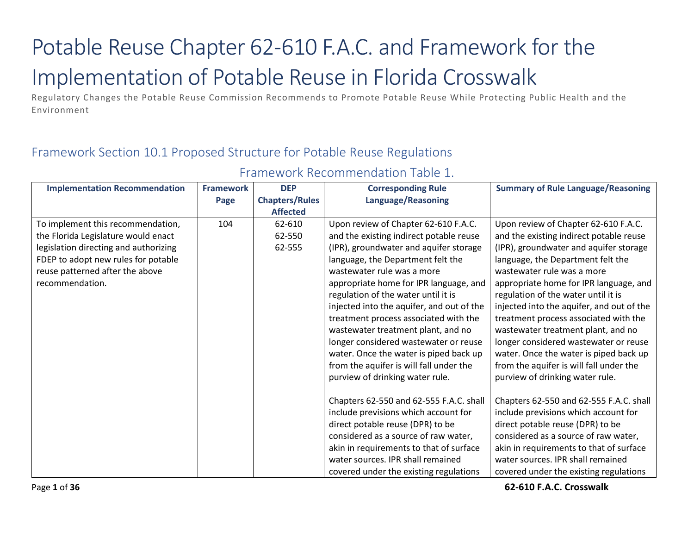# Potable Reuse Chapter 62-610 F.A.C. and Framework for the Implementation of Potable Reuse in Florida Crosswalk

Regulatory Changes the Potable Reuse Commission Recommends to Promote Potable Reuse While Protecting Public Health and the Environment

## Framework Section 10.1 Proposed Structure for Potable Reuse Regulations

| <b>Implementation Recommendation</b>  | <b>Framework</b> | <b>DEP</b>            | <b>Corresponding Rule</b>                 | <b>Summary of Rule Language/Reasoning</b> |
|---------------------------------------|------------------|-----------------------|-------------------------------------------|-------------------------------------------|
|                                       | Page             | <b>Chapters/Rules</b> | <b>Language/Reasoning</b>                 |                                           |
|                                       |                  | <b>Affected</b>       |                                           |                                           |
| To implement this recommendation,     | 104              | 62-610                | Upon review of Chapter 62-610 F.A.C.      | Upon review of Chapter 62-610 F.A.C.      |
| the Florida Legislature would enact   |                  | 62-550                | and the existing indirect potable reuse   | and the existing indirect potable reuse   |
| legislation directing and authorizing |                  | 62-555                | (IPR), groundwater and aquifer storage    | (IPR), groundwater and aquifer storage    |
| FDEP to adopt new rules for potable   |                  |                       | language, the Department felt the         | language, the Department felt the         |
| reuse patterned after the above       |                  |                       | wastewater rule was a more                | wastewater rule was a more                |
| recommendation.                       |                  |                       | appropriate home for IPR language, and    | appropriate home for IPR language, and    |
|                                       |                  |                       | regulation of the water until it is       | regulation of the water until it is       |
|                                       |                  |                       | injected into the aquifer, and out of the | injected into the aquifer, and out of the |
|                                       |                  |                       | treatment process associated with the     | treatment process associated with the     |
|                                       |                  |                       | wastewater treatment plant, and no        | wastewater treatment plant, and no        |
|                                       |                  |                       | longer considered wastewater or reuse     | longer considered wastewater or reuse     |
|                                       |                  |                       | water. Once the water is piped back up    | water. Once the water is piped back up    |
|                                       |                  |                       | from the aquifer is will fall under the   | from the aquifer is will fall under the   |
|                                       |                  |                       | purview of drinking water rule.           | purview of drinking water rule.           |
|                                       |                  |                       |                                           |                                           |
|                                       |                  |                       | Chapters 62-550 and 62-555 F.A.C. shall   | Chapters 62-550 and 62-555 F.A.C. shall   |
|                                       |                  |                       | include previsions which account for      | include previsions which account for      |
|                                       |                  |                       | direct potable reuse (DPR) to be          | direct potable reuse (DPR) to be          |
|                                       |                  |                       | considered as a source of raw water,      | considered as a source of raw water,      |
|                                       |                  |                       | akin in requirements to that of surface   | akin in requirements to that of surface   |
|                                       |                  |                       | water sources. IPR shall remained         | water sources. IPR shall remained         |
|                                       |                  |                       | covered under the existing regulations    | covered under the existing regulations    |

## Framework Recommendation Table 1.

Page **1** of **36 62-610 F.A.C. Crosswalk**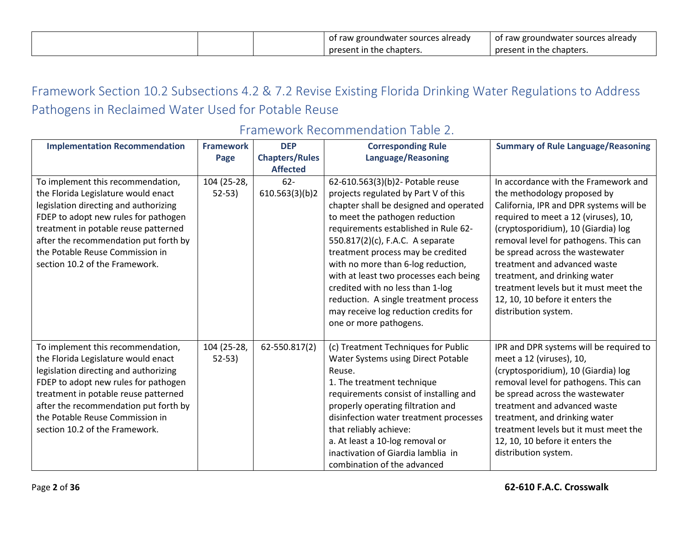|  | of raw groundwater sources already | of raw groundwater sources already |
|--|------------------------------------|------------------------------------|
|  | present in the chapters.           | present in the chapters.           |

## Framework Section 10.2 Subsections 4.2 & 7.2 Revise Existing Florida Drinking Water Regulations to Address Pathogens in Reclaimed Water Used for Potable Reuse

| <b>Implementation Recommendation</b>                                                                                                                                                                                                                                                                            | <b>Framework</b>         | <b>DEP</b>               | <b>Corresponding Rule</b>                                                                                                                                                                                                                                                                                                                                                           | <b>Summary of Rule Language/Reasoning</b>                                                                                                                                                                                                                                                                                                                   |
|-----------------------------------------------------------------------------------------------------------------------------------------------------------------------------------------------------------------------------------------------------------------------------------------------------------------|--------------------------|--------------------------|-------------------------------------------------------------------------------------------------------------------------------------------------------------------------------------------------------------------------------------------------------------------------------------------------------------------------------------------------------------------------------------|-------------------------------------------------------------------------------------------------------------------------------------------------------------------------------------------------------------------------------------------------------------------------------------------------------------------------------------------------------------|
|                                                                                                                                                                                                                                                                                                                 | Page                     | <b>Chapters/Rules</b>    | <b>Language/Reasoning</b>                                                                                                                                                                                                                                                                                                                                                           |                                                                                                                                                                                                                                                                                                                                                             |
|                                                                                                                                                                                                                                                                                                                 |                          | <b>Affected</b>          |                                                                                                                                                                                                                                                                                                                                                                                     |                                                                                                                                                                                                                                                                                                                                                             |
| To implement this recommendation,<br>the Florida Legislature would enact<br>legislation directing and authorizing<br>FDEP to adopt new rules for pathogen<br>treatment in potable reuse patterned<br>after the recommendation put forth by                                                                      | 104 (25-28,<br>$52 - 53$ | $62 -$<br>610.563(3)(b)2 | 62-610.563(3)(b)2- Potable reuse<br>projects regulated by Part V of this<br>chapter shall be designed and operated<br>to meet the pathogen reduction<br>requirements established in Rule 62-<br>550.817(2)(c), F.A.C. A separate                                                                                                                                                    | In accordance with the Framework and<br>the methodology proposed by<br>California, IPR and DPR systems will be<br>required to meet a 12 (viruses), 10,<br>(cryptosporidium), 10 (Giardia) log<br>removal level for pathogens. This can                                                                                                                      |
| the Potable Reuse Commission in<br>section 10.2 of the Framework.                                                                                                                                                                                                                                               |                          |                          | treatment process may be credited<br>with no more than 6-log reduction,<br>with at least two processes each being<br>credited with no less than 1-log<br>reduction. A single treatment process<br>may receive log reduction credits for<br>one or more pathogens.                                                                                                                   | be spread across the wastewater<br>treatment and advanced waste<br>treatment, and drinking water<br>treatment levels but it must meet the<br>12, 10, 10 before it enters the<br>distribution system.                                                                                                                                                        |
| To implement this recommendation,<br>the Florida Legislature would enact<br>legislation directing and authorizing<br>FDEP to adopt new rules for pathogen<br>treatment in potable reuse patterned<br>after the recommendation put forth by<br>the Potable Reuse Commission in<br>section 10.2 of the Framework. | 104 (25-28,<br>$52-53$   | 62-550.817(2)            | (c) Treatment Techniques for Public<br><b>Water Systems using Direct Potable</b><br>Reuse.<br>1. The treatment technique<br>requirements consist of installing and<br>properly operating filtration and<br>disinfection water treatment processes<br>that reliably achieve:<br>a. At least a 10-log removal or<br>inactivation of Giardia lamblia in<br>combination of the advanced | IPR and DPR systems will be required to<br>meet a 12 (viruses), 10,<br>(cryptosporidium), 10 (Giardia) log<br>removal level for pathogens. This can<br>be spread across the wastewater<br>treatment and advanced waste<br>treatment, and drinking water<br>treatment levels but it must meet the<br>12, 10, 10 before it enters the<br>distribution system. |

## Framework Recommendation Table 2.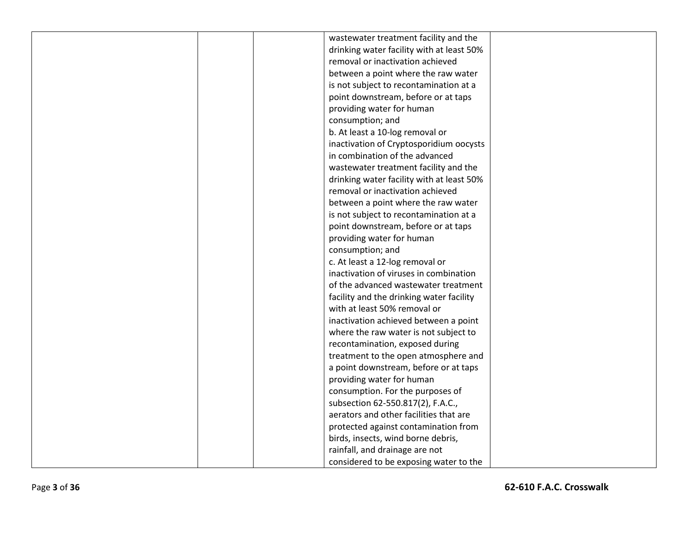| wastewater treatment facility and the     |  |
|-------------------------------------------|--|
| drinking water facility with at least 50% |  |
| removal or inactivation achieved          |  |
| between a point where the raw water       |  |
| is not subject to recontamination at a    |  |
| point downstream, before or at taps       |  |
| providing water for human                 |  |
| consumption; and                          |  |
| b. At least a 10-log removal or           |  |
| inactivation of Cryptosporidium oocysts   |  |
| in combination of the advanced            |  |
| wastewater treatment facility and the     |  |
| drinking water facility with at least 50% |  |
| removal or inactivation achieved          |  |
| between a point where the raw water       |  |
| is not subject to recontamination at a    |  |
| point downstream, before or at taps       |  |
| providing water for human                 |  |
| consumption; and                          |  |
| c. At least a 12-log removal or           |  |
| inactivation of viruses in combination    |  |
| of the advanced wastewater treatment      |  |
| facility and the drinking water facility  |  |
| with at least 50% removal or              |  |
| inactivation achieved between a point     |  |
| where the raw water is not subject to     |  |
| recontamination, exposed during           |  |
| treatment to the open atmosphere and      |  |
| a point downstream, before or at taps     |  |
| providing water for human                 |  |
| consumption. For the purposes of          |  |
| subsection 62-550.817(2), F.A.C.,         |  |
| aerators and other facilities that are    |  |
| protected against contamination from      |  |
| birds, insects, wind borne debris,        |  |
| rainfall, and drainage are not            |  |
| considered to be exposing water to the    |  |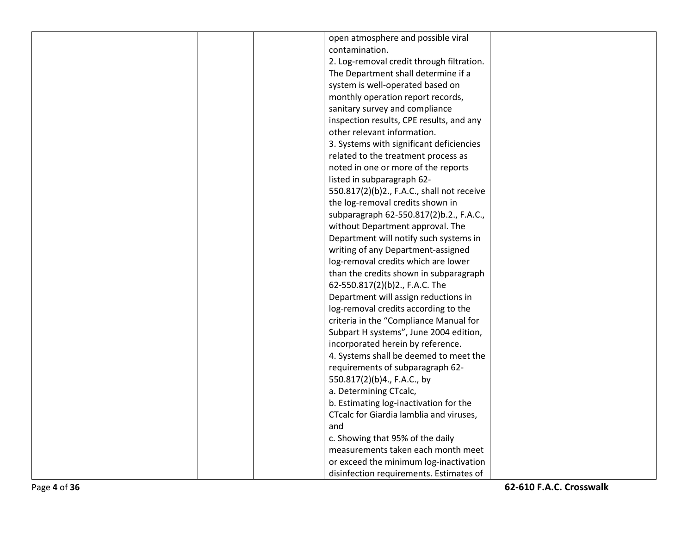|  | open atmosphere and possible viral         |  |
|--|--------------------------------------------|--|
|  | contamination.                             |  |
|  | 2. Log-removal credit through filtration.  |  |
|  | The Department shall determine if a        |  |
|  | system is well-operated based on           |  |
|  | monthly operation report records,          |  |
|  | sanitary survey and compliance             |  |
|  | inspection results, CPE results, and any   |  |
|  | other relevant information.                |  |
|  | 3. Systems with significant deficiencies   |  |
|  | related to the treatment process as        |  |
|  | noted in one or more of the reports        |  |
|  | listed in subparagraph 62-                 |  |
|  | 550.817(2)(b)2., F.A.C., shall not receive |  |
|  | the log-removal credits shown in           |  |
|  | subparagraph 62-550.817(2)b.2., F.A.C.,    |  |
|  | without Department approval. The           |  |
|  | Department will notify such systems in     |  |
|  | writing of any Department-assigned         |  |
|  | log-removal credits which are lower        |  |
|  | than the credits shown in subparagraph     |  |
|  | 62-550.817(2)(b)2., F.A.C. The             |  |
|  | Department will assign reductions in       |  |
|  | log-removal credits according to the       |  |
|  | criteria in the "Compliance Manual for     |  |
|  | Subpart H systems", June 2004 edition,     |  |
|  | incorporated herein by reference.          |  |
|  | 4. Systems shall be deemed to meet the     |  |
|  | requirements of subparagraph 62-           |  |
|  | 550.817(2)(b)4., F.A.C., by                |  |
|  | a. Determining CTcalc,                     |  |
|  | b. Estimating log-inactivation for the     |  |
|  | CTcalc for Giardia lamblia and viruses,    |  |
|  | and                                        |  |
|  | c. Showing that 95% of the daily           |  |
|  | measurements taken each month meet         |  |
|  | or exceed the minimum log-inactivation     |  |
|  | disinfection requirements. Estimates of    |  |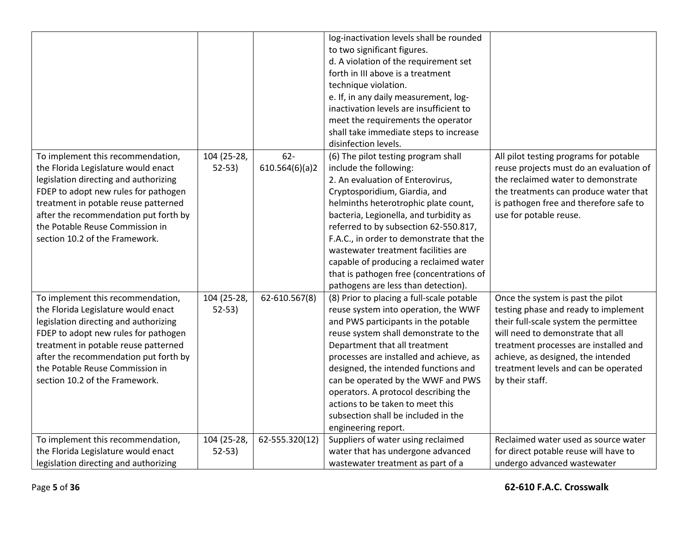|                                                                              |                        |                         | log-inactivation levels shall be rounded<br>to two significant figures.<br>d. A violation of the requirement set<br>forth in III above is a treatment<br>technique violation.<br>e. If, in any daily measurement, log-<br>inactivation levels are insufficient to<br>meet the requirements the operator<br>shall take immediate steps to increase<br>disinfection levels. |                                                                                   |
|------------------------------------------------------------------------------|------------------------|-------------------------|---------------------------------------------------------------------------------------------------------------------------------------------------------------------------------------------------------------------------------------------------------------------------------------------------------------------------------------------------------------------------|-----------------------------------------------------------------------------------|
| To implement this recommendation,<br>the Florida Legislature would enact     | 104 (25-28,<br>$52-53$ | $62-$<br>610.564(6)(a)2 | (6) The pilot testing program shall<br>include the following:                                                                                                                                                                                                                                                                                                             | All pilot testing programs for potable<br>reuse projects must do an evaluation of |
| legislation directing and authorizing                                        |                        |                         | 2. An evaluation of Enterovirus,                                                                                                                                                                                                                                                                                                                                          | the reclaimed water to demonstrate                                                |
| FDEP to adopt new rules for pathogen                                         |                        |                         | Cryptosporidium, Giardia, and                                                                                                                                                                                                                                                                                                                                             | the treatments can produce water that                                             |
| treatment in potable reuse patterned                                         |                        |                         | helminths heterotrophic plate count,                                                                                                                                                                                                                                                                                                                                      | is pathogen free and therefore safe to                                            |
| after the recommendation put forth by                                        |                        |                         | bacteria, Legionella, and turbidity as                                                                                                                                                                                                                                                                                                                                    | use for potable reuse.                                                            |
| the Potable Reuse Commission in                                              |                        |                         | referred to by subsection 62-550.817,                                                                                                                                                                                                                                                                                                                                     |                                                                                   |
| section 10.2 of the Framework.                                               |                        |                         | F.A.C., in order to demonstrate that the                                                                                                                                                                                                                                                                                                                                  |                                                                                   |
|                                                                              |                        |                         | wastewater treatment facilities are                                                                                                                                                                                                                                                                                                                                       |                                                                                   |
|                                                                              |                        |                         | capable of producing a reclaimed water                                                                                                                                                                                                                                                                                                                                    |                                                                                   |
|                                                                              |                        |                         | that is pathogen free (concentrations of                                                                                                                                                                                                                                                                                                                                  |                                                                                   |
|                                                                              |                        |                         | pathogens are less than detection).                                                                                                                                                                                                                                                                                                                                       |                                                                                   |
| To implement this recommendation,                                            | 104 (25-28,<br>$52-53$ | 62-610.567(8)           | (8) Prior to placing a full-scale potable<br>reuse system into operation, the WWF                                                                                                                                                                                                                                                                                         | Once the system is past the pilot                                                 |
| the Florida Legislature would enact<br>legislation directing and authorizing |                        |                         | and PWS participants in the potable                                                                                                                                                                                                                                                                                                                                       | testing phase and ready to implement<br>their full-scale system the permittee     |
| FDEP to adopt new rules for pathogen                                         |                        |                         | reuse system shall demonstrate to the                                                                                                                                                                                                                                                                                                                                     | will need to demonstrate that all                                                 |
| treatment in potable reuse patterned                                         |                        |                         | Department that all treatment                                                                                                                                                                                                                                                                                                                                             | treatment processes are installed and                                             |
| after the recommendation put forth by                                        |                        |                         | processes are installed and achieve, as                                                                                                                                                                                                                                                                                                                                   | achieve, as designed, the intended                                                |
| the Potable Reuse Commission in                                              |                        |                         | designed, the intended functions and                                                                                                                                                                                                                                                                                                                                      | treatment levels and can be operated                                              |
| section 10.2 of the Framework.                                               |                        |                         | can be operated by the WWF and PWS                                                                                                                                                                                                                                                                                                                                        | by their staff.                                                                   |
|                                                                              |                        |                         | operators. A protocol describing the                                                                                                                                                                                                                                                                                                                                      |                                                                                   |
|                                                                              |                        |                         | actions to be taken to meet this                                                                                                                                                                                                                                                                                                                                          |                                                                                   |
|                                                                              |                        |                         | subsection shall be included in the                                                                                                                                                                                                                                                                                                                                       |                                                                                   |
|                                                                              |                        |                         | engineering report.                                                                                                                                                                                                                                                                                                                                                       |                                                                                   |
| To implement this recommendation,                                            | 104 (25-28,            | 62-555.320(12)          | Suppliers of water using reclaimed                                                                                                                                                                                                                                                                                                                                        | Reclaimed water used as source water                                              |
| the Florida Legislature would enact                                          | $52-53)$               |                         | water that has undergone advanced                                                                                                                                                                                                                                                                                                                                         | for direct potable reuse will have to                                             |
| legislation directing and authorizing                                        |                        |                         | wastewater treatment as part of a                                                                                                                                                                                                                                                                                                                                         | undergo advanced wastewater                                                       |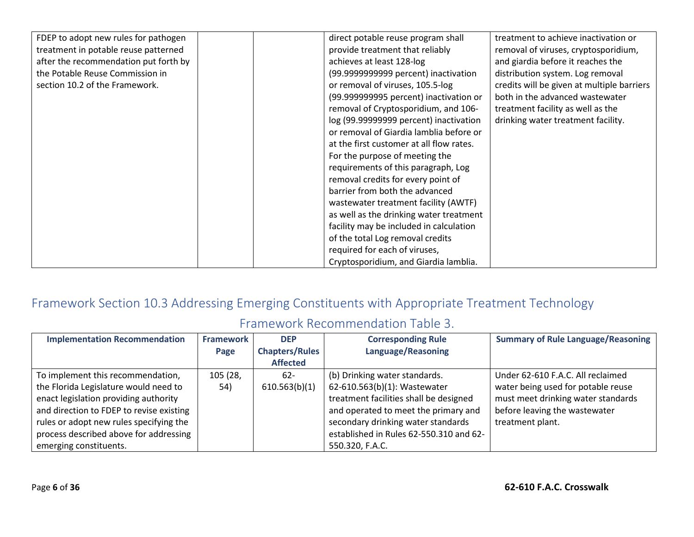| FDEP to adopt new rules for pathogen  | direct potable reuse program shall       | treatment to achieve inactivation or       |
|---------------------------------------|------------------------------------------|--------------------------------------------|
| treatment in potable reuse patterned  | provide treatment that reliably          | removal of viruses, cryptosporidium,       |
| after the recommendation put forth by | achieves at least 128-log                | and giardia before it reaches the          |
| the Potable Reuse Commission in       | (99.9999999999 percent) inactivation     | distribution system. Log removal           |
| section 10.2 of the Framework.        | or removal of viruses, 105.5-log         | credits will be given at multiple barriers |
|                                       | (99.999999995 percent) inactivation or   | both in the advanced wastewater            |
|                                       | removal of Cryptosporidium, and 106-     | treatment facility as well as the          |
|                                       | log (99.99999999 percent) inactivation   | drinking water treatment facility.         |
|                                       | or removal of Giardia lamblia before or  |                                            |
|                                       |                                          |                                            |
|                                       | at the first customer at all flow rates. |                                            |
|                                       | For the purpose of meeting the           |                                            |
|                                       | requirements of this paragraph, Log      |                                            |
|                                       | removal credits for every point of       |                                            |
|                                       | barrier from both the advanced           |                                            |
|                                       | wastewater treatment facility (AWTF)     |                                            |
|                                       | as well as the drinking water treatment  |                                            |
|                                       | facility may be included in calculation  |                                            |
|                                       | of the total Log removal credits         |                                            |
|                                       | required for each of viruses,            |                                            |
|                                       |                                          |                                            |
|                                       | Cryptosporidium, and Giardia lamblia.    |                                            |

## Framework Section 10.3 Addressing Emerging Constituents with Appropriate Treatment Technology

## Framework Recommendation Table 3.

| <b>Implementation Recommendation</b>     | <b>Framework</b> | <b>DEP</b>            | <b>Corresponding Rule</b>               | <b>Summary of Rule Language/Reasoning</b> |
|------------------------------------------|------------------|-----------------------|-----------------------------------------|-------------------------------------------|
|                                          | Page             | <b>Chapters/Rules</b> | Language/Reasoning                      |                                           |
|                                          |                  | <b>Affected</b>       |                                         |                                           |
| To implement this recommendation,        | 105 (28,         | $62 -$                | (b) Drinking water standards.           | Under 62-610 F.A.C. All reclaimed         |
| the Florida Legislature would need to    | 54)              | 610.563(b)(1)         | 62-610.563(b)(1): Wastewater            | water being used for potable reuse        |
| enact legislation providing authority    |                  |                       | treatment facilities shall be designed  | must meet drinking water standards        |
| and direction to FDEP to revise existing |                  |                       | and operated to meet the primary and    | before leaving the wastewater             |
| rules or adopt new rules specifying the  |                  |                       | secondary drinking water standards      | treatment plant.                          |
| process described above for addressing   |                  |                       | established in Rules 62-550.310 and 62- |                                           |
| emerging constituents.                   |                  |                       | 550.320, F.A.C.                         |                                           |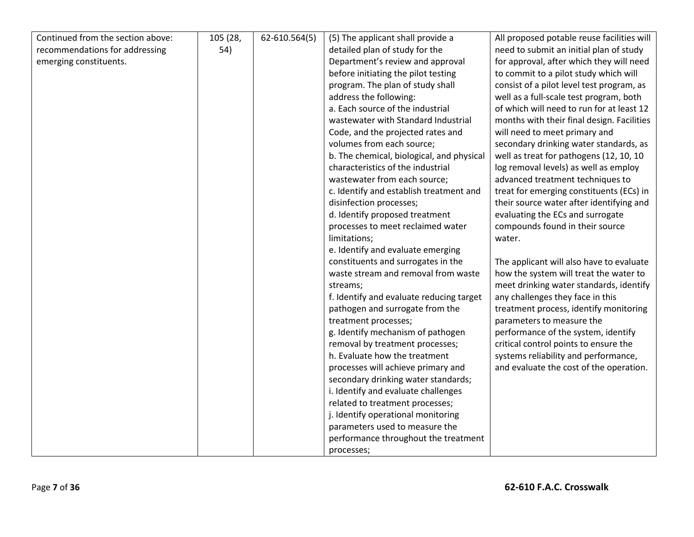| Continued from the section above: | 105 (28, | 62-610.564(5) | (5) The applicant shall provide a         | All proposed potable reuse facilities will |
|-----------------------------------|----------|---------------|-------------------------------------------|--------------------------------------------|
| recommendations for addressing    | 54)      |               | detailed plan of study for the            | need to submit an initial plan of study    |
| emerging constituents.            |          |               | Department's review and approval          | for approval, after which they will need   |
|                                   |          |               | before initiating the pilot testing       | to commit to a pilot study which will      |
|                                   |          |               | program. The plan of study shall          | consist of a pilot level test program, as  |
|                                   |          |               | address the following:                    | well as a full-scale test program, both    |
|                                   |          |               | a. Each source of the industrial          | of which will need to run for at least 12  |
|                                   |          |               | wastewater with Standard Industrial       | months with their final design. Facilities |
|                                   |          |               | Code, and the projected rates and         | will need to meet primary and              |
|                                   |          |               | volumes from each source;                 | secondary drinking water standards, as     |
|                                   |          |               | b. The chemical, biological, and physical | well as treat for pathogens (12, 10, 10    |
|                                   |          |               | characteristics of the industrial         | log removal levels) as well as employ      |
|                                   |          |               | wastewater from each source;              | advanced treatment techniques to           |
|                                   |          |               | c. Identify and establish treatment and   | treat for emerging constituents (ECs) in   |
|                                   |          |               | disinfection processes;                   | their source water after identifying and   |
|                                   |          |               | d. Identify proposed treatment            | evaluating the ECs and surrogate           |
|                                   |          |               | processes to meet reclaimed water         | compounds found in their source            |
|                                   |          |               | limitations;                              | water.                                     |
|                                   |          |               | e. Identify and evaluate emerging         |                                            |
|                                   |          |               | constituents and surrogates in the        | The applicant will also have to evaluate   |
|                                   |          |               | waste stream and removal from waste       | how the system will treat the water to     |
|                                   |          |               | streams;                                  | meet drinking water standards, identify    |
|                                   |          |               | f. Identify and evaluate reducing target  | any challenges they face in this           |
|                                   |          |               | pathogen and surrogate from the           | treatment process, identify monitoring     |
|                                   |          |               | treatment processes;                      | parameters to measure the                  |
|                                   |          |               | g. Identify mechanism of pathogen         | performance of the system, identify        |
|                                   |          |               | removal by treatment processes;           | critical control points to ensure the      |
|                                   |          |               | h. Evaluate how the treatment             | systems reliability and performance,       |
|                                   |          |               | processes will achieve primary and        | and evaluate the cost of the operation.    |
|                                   |          |               | secondary drinking water standards;       |                                            |
|                                   |          |               | i. Identify and evaluate challenges       |                                            |
|                                   |          |               | related to treatment processes;           |                                            |
|                                   |          |               | j. Identify operational monitoring        |                                            |
|                                   |          |               | parameters used to measure the            |                                            |
|                                   |          |               | performance throughout the treatment      |                                            |
|                                   |          |               | processes;                                |                                            |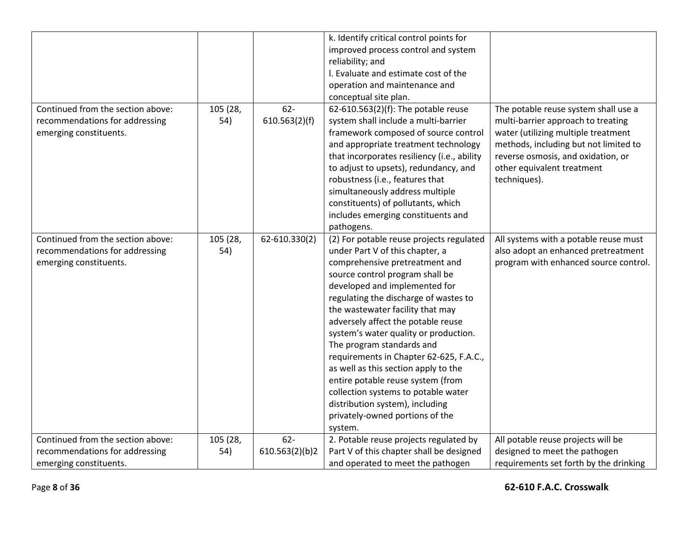|                                                                                               |                 |                        | k. Identify critical control points for                                                                                                                                                                                                                                                                                                                                    |                                                                                                                                                                                                                                                |
|-----------------------------------------------------------------------------------------------|-----------------|------------------------|----------------------------------------------------------------------------------------------------------------------------------------------------------------------------------------------------------------------------------------------------------------------------------------------------------------------------------------------------------------------------|------------------------------------------------------------------------------------------------------------------------------------------------------------------------------------------------------------------------------------------------|
|                                                                                               |                 |                        | improved process control and system                                                                                                                                                                                                                                                                                                                                        |                                                                                                                                                                                                                                                |
|                                                                                               |                 |                        | reliability; and                                                                                                                                                                                                                                                                                                                                                           |                                                                                                                                                                                                                                                |
|                                                                                               |                 |                        | I. Evaluate and estimate cost of the                                                                                                                                                                                                                                                                                                                                       |                                                                                                                                                                                                                                                |
|                                                                                               |                 |                        | operation and maintenance and                                                                                                                                                                                                                                                                                                                                              |                                                                                                                                                                                                                                                |
|                                                                                               |                 |                        | conceptual site plan.                                                                                                                                                                                                                                                                                                                                                      |                                                                                                                                                                                                                                                |
| Continued from the section above:<br>recommendations for addressing<br>emerging constituents. | 105 (28,<br>54) | $62-$<br>610.563(2)(f) | 62-610.563(2)(f): The potable reuse<br>system shall include a multi-barrier<br>framework composed of source control<br>and appropriate treatment technology<br>that incorporates resiliency (i.e., ability<br>to adjust to upsets), redundancy, and<br>robustness (i.e., features that<br>simultaneously address multiple                                                  | The potable reuse system shall use a<br>multi-barrier approach to treating<br>water (utilizing multiple treatment<br>methods, including but not limited to<br>reverse osmosis, and oxidation, or<br>other equivalent treatment<br>techniques). |
|                                                                                               |                 |                        | constituents) of pollutants, which                                                                                                                                                                                                                                                                                                                                         |                                                                                                                                                                                                                                                |
|                                                                                               |                 |                        | includes emerging constituents and                                                                                                                                                                                                                                                                                                                                         |                                                                                                                                                                                                                                                |
|                                                                                               |                 |                        | pathogens.                                                                                                                                                                                                                                                                                                                                                                 |                                                                                                                                                                                                                                                |
| Continued from the section above:<br>recommendations for addressing<br>emerging constituents. | 105 (28,<br>54) | 62-610.330(2)          | (2) For potable reuse projects regulated<br>under Part V of this chapter, a<br>comprehensive pretreatment and<br>source control program shall be<br>developed and implemented for<br>regulating the discharge of wastes to<br>the wastewater facility that may<br>adversely affect the potable reuse<br>system's water quality or production.<br>The program standards and | All systems with a potable reuse must<br>also adopt an enhanced pretreatment<br>program with enhanced source control.                                                                                                                          |
|                                                                                               |                 |                        | requirements in Chapter 62-625, F.A.C.,<br>as well as this section apply to the<br>entire potable reuse system (from<br>collection systems to potable water<br>distribution system), including<br>privately-owned portions of the<br>system.                                                                                                                               |                                                                                                                                                                                                                                                |
| Continued from the section above:                                                             | 105 (28,        | $62 -$                 | 2. Potable reuse projects regulated by                                                                                                                                                                                                                                                                                                                                     | All potable reuse projects will be                                                                                                                                                                                                             |
| recommendations for addressing                                                                | 54)             | 610.563(2)(b)2         | Part V of this chapter shall be designed                                                                                                                                                                                                                                                                                                                                   | designed to meet the pathogen                                                                                                                                                                                                                  |
| emerging constituents.                                                                        |                 |                        | and operated to meet the pathogen                                                                                                                                                                                                                                                                                                                                          | requirements set forth by the drinking                                                                                                                                                                                                         |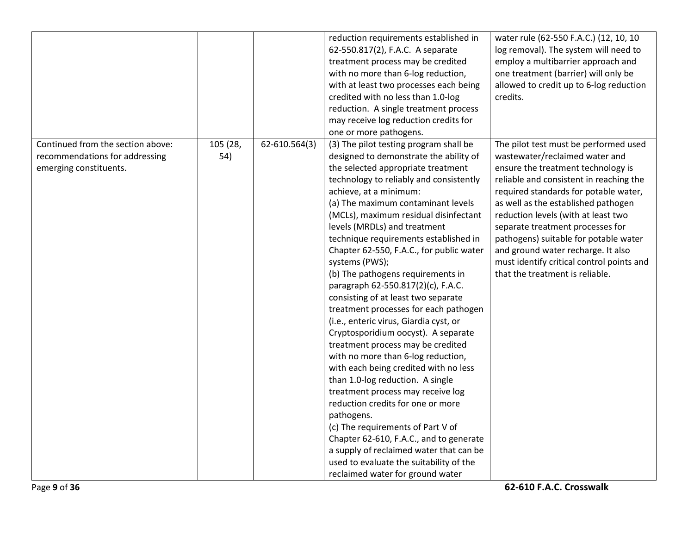|                                                                                               |                 |               | reduction requirements established in<br>62-550.817(2), F.A.C. A separate<br>treatment process may be credited<br>with no more than 6-log reduction,<br>with at least two processes each being<br>credited with no less than 1.0-log<br>reduction. A single treatment process<br>may receive log reduction credits for<br>one or more pathogens.                                                                                                                                                                                                                                                                                                                                                                                                                                                                                                                                                                                                                                                                                                                                                                        | water rule (62-550 F.A.C.) (12, 10, 10<br>log removal). The system will need to<br>employ a multibarrier approach and<br>one treatment (barrier) will only be<br>allowed to credit up to 6-log reduction<br>credits.                                                                                                                                                                                                                                                               |
|-----------------------------------------------------------------------------------------------|-----------------|---------------|-------------------------------------------------------------------------------------------------------------------------------------------------------------------------------------------------------------------------------------------------------------------------------------------------------------------------------------------------------------------------------------------------------------------------------------------------------------------------------------------------------------------------------------------------------------------------------------------------------------------------------------------------------------------------------------------------------------------------------------------------------------------------------------------------------------------------------------------------------------------------------------------------------------------------------------------------------------------------------------------------------------------------------------------------------------------------------------------------------------------------|------------------------------------------------------------------------------------------------------------------------------------------------------------------------------------------------------------------------------------------------------------------------------------------------------------------------------------------------------------------------------------------------------------------------------------------------------------------------------------|
| Continued from the section above:<br>recommendations for addressing<br>emerging constituents. | 105 (28,<br>54) | 62-610.564(3) | (3) The pilot testing program shall be<br>designed to demonstrate the ability of<br>the selected appropriate treatment<br>technology to reliably and consistently<br>achieve, at a minimum:<br>(a) The maximum contaminant levels<br>(MCLs), maximum residual disinfectant<br>levels (MRDLs) and treatment<br>technique requirements established in<br>Chapter 62-550, F.A.C., for public water<br>systems (PWS);<br>(b) The pathogens requirements in<br>paragraph 62-550.817(2)(c), F.A.C.<br>consisting of at least two separate<br>treatment processes for each pathogen<br>(i.e., enteric virus, Giardia cyst, or<br>Cryptosporidium oocyst). A separate<br>treatment process may be credited<br>with no more than 6-log reduction,<br>with each being credited with no less<br>than 1.0-log reduction. A single<br>treatment process may receive log<br>reduction credits for one or more<br>pathogens.<br>(c) The requirements of Part V of<br>Chapter 62-610, F.A.C., and to generate<br>a supply of reclaimed water that can be<br>used to evaluate the suitability of the<br>reclaimed water for ground water | The pilot test must be performed used<br>wastewater/reclaimed water and<br>ensure the treatment technology is<br>reliable and consistent in reaching the<br>required standards for potable water,<br>as well as the established pathogen<br>reduction levels (with at least two<br>separate treatment processes for<br>pathogens) suitable for potable water<br>and ground water recharge. It also<br>must identify critical control points and<br>that the treatment is reliable. |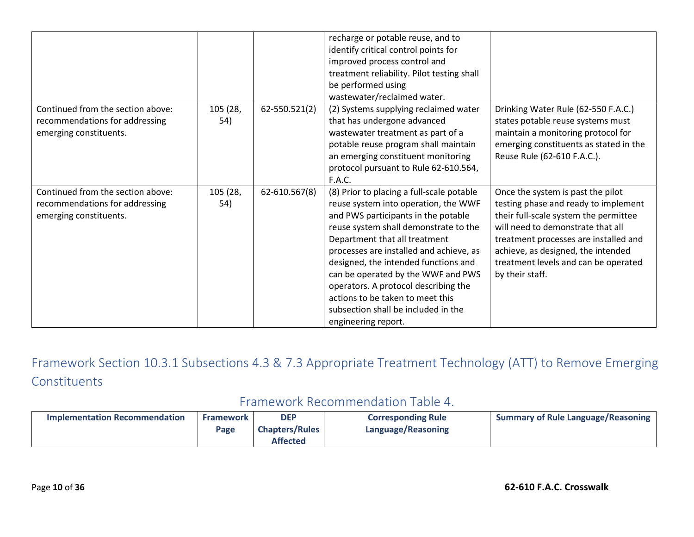|                                   |          |               | recharge or potable reuse, and to          |                                        |
|-----------------------------------|----------|---------------|--------------------------------------------|----------------------------------------|
|                                   |          |               | identify critical control points for       |                                        |
|                                   |          |               | improved process control and               |                                        |
|                                   |          |               | treatment reliability. Pilot testing shall |                                        |
|                                   |          |               | be performed using                         |                                        |
|                                   |          |               | wastewater/reclaimed water.                |                                        |
| Continued from the section above: | 105 (28, | 62-550.521(2) | (2) Systems supplying reclaimed water      | Drinking Water Rule (62-550 F.A.C.)    |
| recommendations for addressing    | 54)      |               | that has undergone advanced                | states potable reuse systems must      |
| emerging constituents.            |          |               | wastewater treatment as part of a          | maintain a monitoring protocol for     |
|                                   |          |               | potable reuse program shall maintain       | emerging constituents as stated in the |
|                                   |          |               | an emerging constituent monitoring         | Reuse Rule (62-610 F.A.C.).            |
|                                   |          |               | protocol pursuant to Rule 62-610.564,      |                                        |
|                                   |          |               | F.A.C.                                     |                                        |
| Continued from the section above: | 105 (28, | 62-610.567(8) | (8) Prior to placing a full-scale potable  | Once the system is past the pilot      |
| recommendations for addressing    | 54)      |               | reuse system into operation, the WWF       | testing phase and ready to implement   |
| emerging constituents.            |          |               | and PWS participants in the potable        | their full-scale system the permittee  |
|                                   |          |               | reuse system shall demonstrate to the      | will need to demonstrate that all      |
|                                   |          |               | Department that all treatment              | treatment processes are installed and  |
|                                   |          |               | processes are installed and achieve, as    | achieve, as designed, the intended     |
|                                   |          |               | designed, the intended functions and       | treatment levels and can be operated   |
|                                   |          |               | can be operated by the WWF and PWS         | by their staff.                        |
|                                   |          |               | operators. A protocol describing the       |                                        |
|                                   |          |               | actions to be taken to meet this           |                                        |
|                                   |          |               | subsection shall be included in the        |                                        |
|                                   |          |               | engineering report.                        |                                        |
|                                   |          |               |                                            |                                        |

Framework Section 10.3.1 Subsections 4.3 & 7.3 Appropriate Treatment Technology (ATT) to Remove Emerging **Constituents** 

## Framework Recommendation Table 4.

| <b>Implementation Recommendation</b> | <b>Framework</b><br>Page | <b>DEP</b><br><b>Chapters/Rules</b> | <b>Corresponding Rule</b><br>Language/Reasoning | <b>Summary of Rule Language/Reasoning</b> |
|--------------------------------------|--------------------------|-------------------------------------|-------------------------------------------------|-------------------------------------------|
|                                      |                          | <b>Affected</b>                     |                                                 |                                           |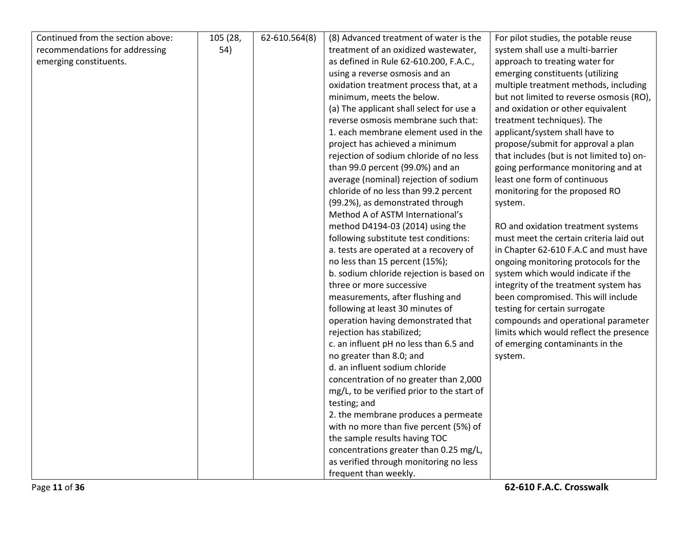| Continued from the section above: | 105 (28, | 62-610.564(8) | (8) Advanced treatment of water is the     | For pilot studies, the potable reuse      |
|-----------------------------------|----------|---------------|--------------------------------------------|-------------------------------------------|
| recommendations for addressing    | 54)      |               | treatment of an oxidized wastewater,       | system shall use a multi-barrier          |
| emerging constituents.            |          |               | as defined in Rule 62-610.200, F.A.C.,     | approach to treating water for            |
|                                   |          |               | using a reverse osmosis and an             | emerging constituents (utilizing          |
|                                   |          |               | oxidation treatment process that, at a     | multiple treatment methods, including     |
|                                   |          |               | minimum, meets the below.                  | but not limited to reverse osmosis (RO),  |
|                                   |          |               | (a) The applicant shall select for use a   | and oxidation or other equivalent         |
|                                   |          |               | reverse osmosis membrane such that:        | treatment techniques). The                |
|                                   |          |               | 1. each membrane element used in the       | applicant/system shall have to            |
|                                   |          |               | project has achieved a minimum             | propose/submit for approval a plan        |
|                                   |          |               | rejection of sodium chloride of no less    | that includes (but is not limited to) on- |
|                                   |          |               | than 99.0 percent (99.0%) and an           | going performance monitoring and at       |
|                                   |          |               | average (nominal) rejection of sodium      | least one form of continuous              |
|                                   |          |               | chloride of no less than 99.2 percent      | monitoring for the proposed RO            |
|                                   |          |               | (99.2%), as demonstrated through           | system.                                   |
|                                   |          |               | Method A of ASTM International's           |                                           |
|                                   |          |               | method D4194-03 (2014) using the           | RO and oxidation treatment systems        |
|                                   |          |               | following substitute test conditions:      | must meet the certain criteria laid out   |
|                                   |          |               | a. tests are operated at a recovery of     | in Chapter 62-610 F.A.C and must have     |
|                                   |          |               | no less than 15 percent (15%);             | ongoing monitoring protocols for the      |
|                                   |          |               | b. sodium chloride rejection is based on   | system which would indicate if the        |
|                                   |          |               | three or more successive                   | integrity of the treatment system has     |
|                                   |          |               | measurements, after flushing and           | been compromised. This will include       |
|                                   |          |               | following at least 30 minutes of           | testing for certain surrogate             |
|                                   |          |               | operation having demonstrated that         | compounds and operational parameter       |
|                                   |          |               | rejection has stabilized;                  | limits which would reflect the presence   |
|                                   |          |               | c. an influent pH no less than 6.5 and     | of emerging contaminants in the           |
|                                   |          |               | no greater than 8.0; and                   | system.                                   |
|                                   |          |               | d. an influent sodium chloride             |                                           |
|                                   |          |               | concentration of no greater than 2,000     |                                           |
|                                   |          |               | mg/L, to be verified prior to the start of |                                           |
|                                   |          |               | testing; and                               |                                           |
|                                   |          |               | 2. the membrane produces a permeate        |                                           |
|                                   |          |               | with no more than five percent (5%) of     |                                           |
|                                   |          |               | the sample results having TOC              |                                           |
|                                   |          |               | concentrations greater than 0.25 mg/L,     |                                           |
|                                   |          |               | as verified through monitoring no less     |                                           |
|                                   |          |               | frequent than weekly.                      |                                           |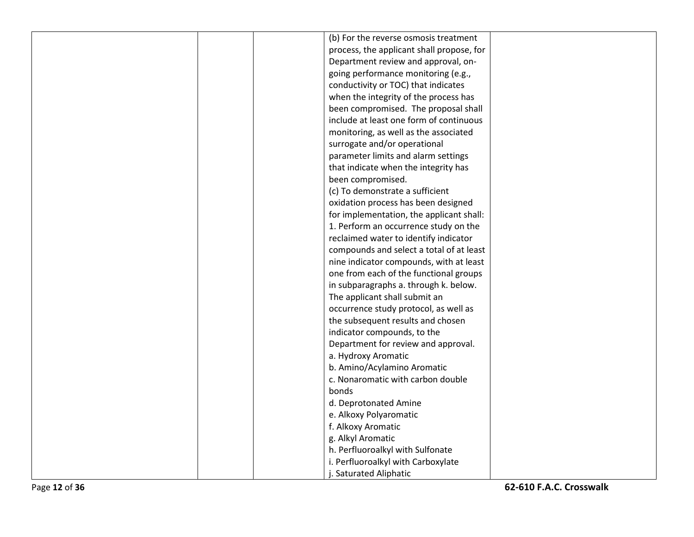|  | (b) For the reverse osmosis treatment     |  |
|--|-------------------------------------------|--|
|  | process, the applicant shall propose, for |  |
|  | Department review and approval, on-       |  |
|  | going performance monitoring (e.g.,       |  |
|  | conductivity or TOC) that indicates       |  |
|  | when the integrity of the process has     |  |
|  | been compromised. The proposal shall      |  |
|  | include at least one form of continuous   |  |
|  | monitoring, as well as the associated     |  |
|  | surrogate and/or operational              |  |
|  | parameter limits and alarm settings       |  |
|  | that indicate when the integrity has      |  |
|  | been compromised.                         |  |
|  | (c) To demonstrate a sufficient           |  |
|  | oxidation process has been designed       |  |
|  | for implementation, the applicant shall:  |  |
|  | 1. Perform an occurrence study on the     |  |
|  | reclaimed water to identify indicator     |  |
|  | compounds and select a total of at least  |  |
|  | nine indicator compounds, with at least   |  |
|  | one from each of the functional groups    |  |
|  | in subparagraphs a. through k. below.     |  |
|  | The applicant shall submit an             |  |
|  | occurrence study protocol, as well as     |  |
|  | the subsequent results and chosen         |  |
|  | indicator compounds, to the               |  |
|  | Department for review and approval.       |  |
|  | a. Hydroxy Aromatic                       |  |
|  | b. Amino/Acylamino Aromatic               |  |
|  | c. Nonaromatic with carbon double         |  |
|  | bonds                                     |  |
|  | d. Deprotonated Amine                     |  |
|  | e. Alkoxy Polyaromatic                    |  |
|  | f. Alkoxy Aromatic                        |  |
|  | g. Alkyl Aromatic                         |  |
|  | h. Perfluoroalkyl with Sulfonate          |  |
|  | i. Perfluoroalkyl with Carboxylate        |  |
|  | j. Saturated Aliphatic                    |  |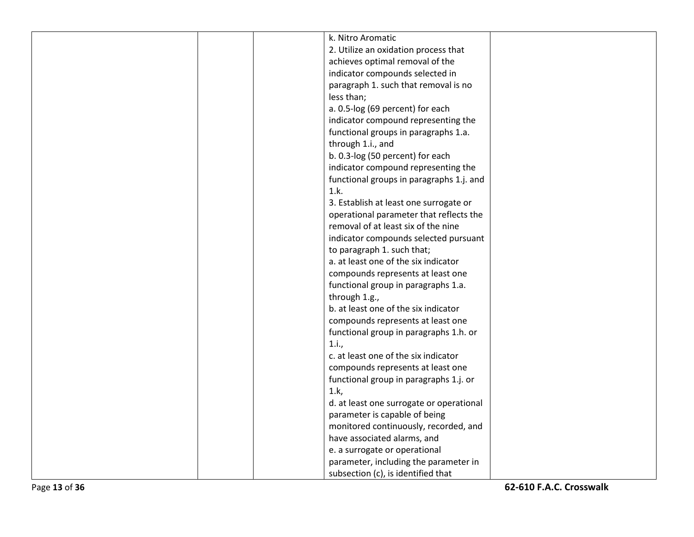|  | k. Nitro Aromatic                        |  |
|--|------------------------------------------|--|
|  | 2. Utilize an oxidation process that     |  |
|  | achieves optimal removal of the          |  |
|  | indicator compounds selected in          |  |
|  | paragraph 1. such that removal is no     |  |
|  | less than;                               |  |
|  | a. 0.5-log (69 percent) for each         |  |
|  | indicator compound representing the      |  |
|  | functional groups in paragraphs 1.a.     |  |
|  | through 1.i., and                        |  |
|  | b. 0.3-log (50 percent) for each         |  |
|  | indicator compound representing the      |  |
|  | functional groups in paragraphs 1.j. and |  |
|  | 1.k.                                     |  |
|  | 3. Establish at least one surrogate or   |  |
|  | operational parameter that reflects the  |  |
|  | removal of at least six of the nine      |  |
|  | indicator compounds selected pursuant    |  |
|  | to paragraph 1. such that;               |  |
|  | a. at least one of the six indicator     |  |
|  | compounds represents at least one        |  |
|  | functional group in paragraphs 1.a.      |  |
|  | through 1.g.,                            |  |
|  | b. at least one of the six indicator     |  |
|  | compounds represents at least one        |  |
|  | functional group in paragraphs 1.h. or   |  |
|  | 1.i.,                                    |  |
|  | c. at least one of the six indicator     |  |
|  | compounds represents at least one        |  |
|  | functional group in paragraphs 1.j. or   |  |
|  | 1.k,                                     |  |
|  | d. at least one surrogate or operational |  |
|  | parameter is capable of being            |  |
|  | monitored continuously, recorded, and    |  |
|  | have associated alarms, and              |  |
|  | e. a surrogate or operational            |  |
|  | parameter, including the parameter in    |  |
|  | subsection (c), is identified that       |  |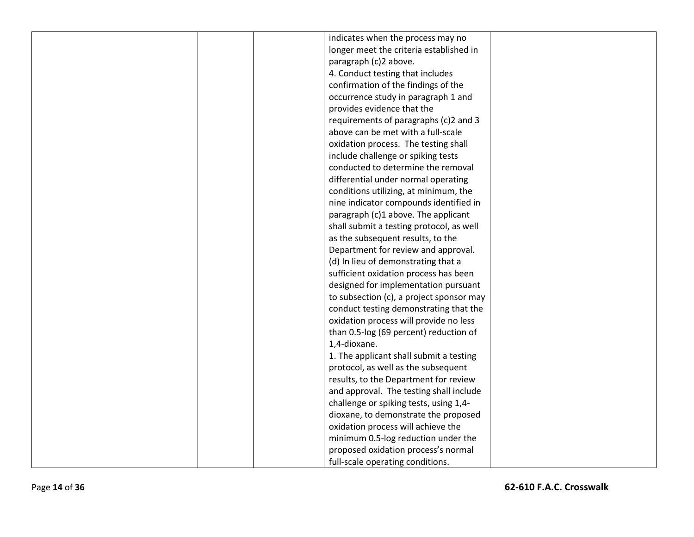|  | indicates when the process may no        |  |
|--|------------------------------------------|--|
|  | longer meet the criteria established in  |  |
|  | paragraph (c)2 above.                    |  |
|  | 4. Conduct testing that includes         |  |
|  | confirmation of the findings of the      |  |
|  | occurrence study in paragraph 1 and      |  |
|  | provides evidence that the               |  |
|  | requirements of paragraphs (c)2 and 3    |  |
|  | above can be met with a full-scale       |  |
|  | oxidation process. The testing shall     |  |
|  | include challenge or spiking tests       |  |
|  | conducted to determine the removal       |  |
|  | differential under normal operating      |  |
|  | conditions utilizing, at minimum, the    |  |
|  | nine indicator compounds identified in   |  |
|  | paragraph (c)1 above. The applicant      |  |
|  | shall submit a testing protocol, as well |  |
|  | as the subsequent results, to the        |  |
|  | Department for review and approval.      |  |
|  | (d) In lieu of demonstrating that a      |  |
|  | sufficient oxidation process has been    |  |
|  | designed for implementation pursuant     |  |
|  | to subsection (c), a project sponsor may |  |
|  | conduct testing demonstrating that the   |  |
|  | oxidation process will provide no less   |  |
|  | than 0.5-log (69 percent) reduction of   |  |
|  | 1,4-dioxane.                             |  |
|  | 1. The applicant shall submit a testing  |  |
|  | protocol, as well as the subsequent      |  |
|  | results, to the Department for review    |  |
|  | and approval. The testing shall include  |  |
|  | challenge or spiking tests, using 1,4-   |  |
|  | dioxane, to demonstrate the proposed     |  |
|  | oxidation process will achieve the       |  |
|  | minimum 0.5-log reduction under the      |  |
|  | proposed oxidation process's normal      |  |
|  | full-scale operating conditions.         |  |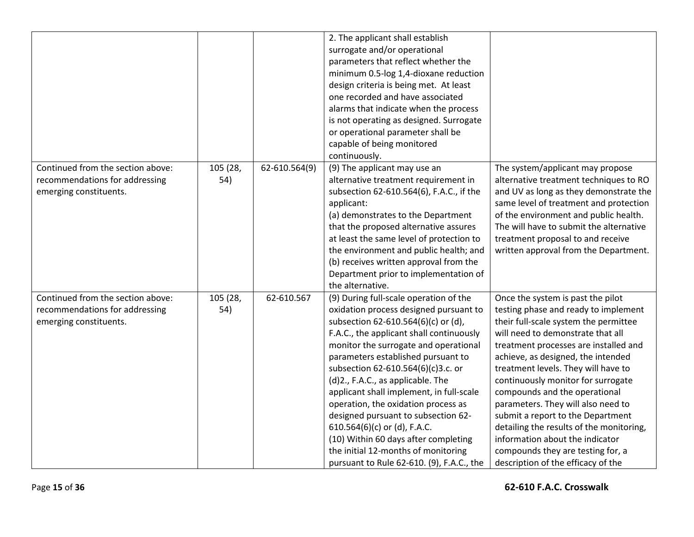|                                                                                               |                 |               | 2. The applicant shall establish<br>surrogate and/or operational<br>parameters that reflect whether the<br>minimum 0.5-log 1,4-dioxane reduction<br>design criteria is being met. At least<br>one recorded and have associated<br>alarms that indicate when the process<br>is not operating as designed. Surrogate<br>or operational parameter shall be<br>capable of being monitored<br>continuously.                                                                                                                                                                                                              |                                                                                                                                                                                                                                                                                                                                                                                                                                                                                                                                                                                           |
|-----------------------------------------------------------------------------------------------|-----------------|---------------|---------------------------------------------------------------------------------------------------------------------------------------------------------------------------------------------------------------------------------------------------------------------------------------------------------------------------------------------------------------------------------------------------------------------------------------------------------------------------------------------------------------------------------------------------------------------------------------------------------------------|-------------------------------------------------------------------------------------------------------------------------------------------------------------------------------------------------------------------------------------------------------------------------------------------------------------------------------------------------------------------------------------------------------------------------------------------------------------------------------------------------------------------------------------------------------------------------------------------|
| Continued from the section above:<br>recommendations for addressing<br>emerging constituents. | 105 (28,<br>54) | 62-610.564(9) | (9) The applicant may use an<br>alternative treatment requirement in<br>subsection 62-610.564(6), F.A.C., if the<br>applicant:<br>(a) demonstrates to the Department<br>that the proposed alternative assures<br>at least the same level of protection to<br>the environment and public health; and<br>(b) receives written approval from the<br>Department prior to implementation of<br>the alternative.                                                                                                                                                                                                          | The system/applicant may propose<br>alternative treatment techniques to RO<br>and UV as long as they demonstrate the<br>same level of treatment and protection<br>of the environment and public health.<br>The will have to submit the alternative<br>treatment proposal to and receive<br>written approval from the Department.                                                                                                                                                                                                                                                          |
| Continued from the section above:<br>recommendations for addressing<br>emerging constituents. | 105 (28,<br>54) | 62-610.567    | (9) During full-scale operation of the<br>oxidation process designed pursuant to<br>subsection 62-610.564(6)(c) or (d),<br>F.A.C., the applicant shall continuously<br>monitor the surrogate and operational<br>parameters established pursuant to<br>subsection 62-610.564(6)(c)3.c. or<br>(d)2., F.A.C., as applicable. The<br>applicant shall implement, in full-scale<br>operation, the oxidation process as<br>designed pursuant to subsection 62-<br>610.564(6)(c) or (d), F.A.C.<br>(10) Within 60 days after completing<br>the initial 12-months of monitoring<br>pursuant to Rule 62-610. (9), F.A.C., the | Once the system is past the pilot<br>testing phase and ready to implement<br>their full-scale system the permittee<br>will need to demonstrate that all<br>treatment processes are installed and<br>achieve, as designed, the intended<br>treatment levels. They will have to<br>continuously monitor for surrogate<br>compounds and the operational<br>parameters. They will also need to<br>submit a report to the Department<br>detailing the results of the monitoring,<br>information about the indicator<br>compounds they are testing for, a<br>description of the efficacy of the |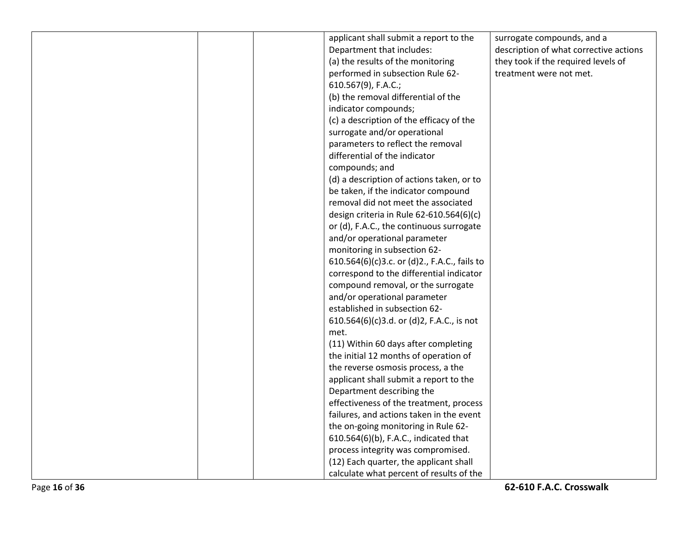|  | applicant shall submit a report to the       | surrogate compounds, and a             |
|--|----------------------------------------------|----------------------------------------|
|  | Department that includes:                    | description of what corrective actions |
|  | (a) the results of the monitoring            | they took if the required levels of    |
|  | performed in subsection Rule 62-             | treatment were not met.                |
|  | 610.567(9), F.A.C.;                          |                                        |
|  | (b) the removal differential of the          |                                        |
|  | indicator compounds;                         |                                        |
|  | (c) a description of the efficacy of the     |                                        |
|  | surrogate and/or operational                 |                                        |
|  | parameters to reflect the removal            |                                        |
|  | differential of the indicator                |                                        |
|  | compounds; and                               |                                        |
|  | (d) a description of actions taken, or to    |                                        |
|  | be taken, if the indicator compound          |                                        |
|  | removal did not meet the associated          |                                        |
|  | design criteria in Rule 62-610.564(6)(c)     |                                        |
|  | or (d), F.A.C., the continuous surrogate     |                                        |
|  | and/or operational parameter                 |                                        |
|  | monitoring in subsection 62-                 |                                        |
|  | 610.564(6)(c)3.c. or (d)2., F.A.C., fails to |                                        |
|  | correspond to the differential indicator     |                                        |
|  | compound removal, or the surrogate           |                                        |
|  | and/or operational parameter                 |                                        |
|  | established in subsection 62-                |                                        |
|  | 610.564(6)(c)3.d. or (d)2, F.A.C., is not    |                                        |
|  | met.                                         |                                        |
|  | (11) Within 60 days after completing         |                                        |
|  | the initial 12 months of operation of        |                                        |
|  | the reverse osmosis process, a the           |                                        |
|  | applicant shall submit a report to the       |                                        |
|  | Department describing the                    |                                        |
|  | effectiveness of the treatment, process      |                                        |
|  | failures, and actions taken in the event     |                                        |
|  | the on-going monitoring in Rule 62-          |                                        |
|  | 610.564(6)(b), F.A.C., indicated that        |                                        |
|  | process integrity was compromised.           |                                        |
|  | (12) Each quarter, the applicant shall       |                                        |
|  | calculate what percent of results of the     |                                        |
|  |                                              |                                        |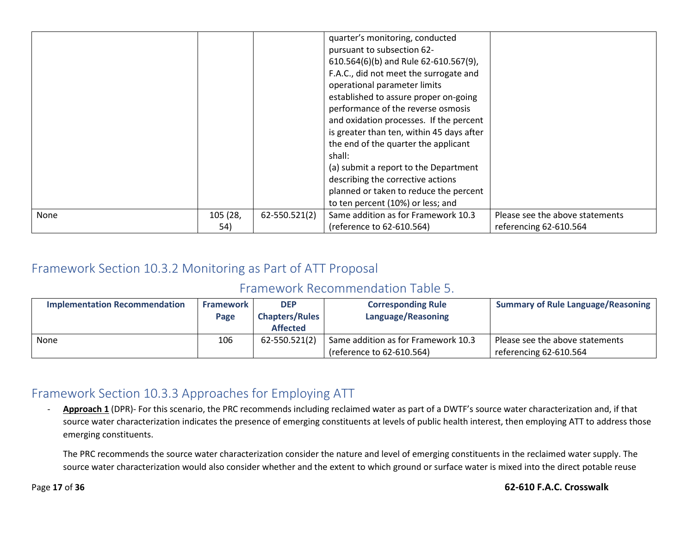|             |                 |               | quarter's monitoring, conducted<br>pursuant to subsection 62-<br>610.564(6)(b) and Rule 62-610.567(9),<br>F.A.C., did not meet the surrogate and<br>operational parameter limits<br>established to assure proper on-going<br>performance of the reverse osmosis<br>and oxidation processes. If the percent<br>is greater than ten, within 45 days after<br>the end of the quarter the applicant<br>shall:<br>(a) submit a report to the Department<br>describing the corrective actions<br>planned or taken to reduce the percent<br>to ten percent (10%) or less; and |                                                           |
|-------------|-----------------|---------------|------------------------------------------------------------------------------------------------------------------------------------------------------------------------------------------------------------------------------------------------------------------------------------------------------------------------------------------------------------------------------------------------------------------------------------------------------------------------------------------------------------------------------------------------------------------------|-----------------------------------------------------------|
| <b>None</b> | 105 (28,<br>54) | 62-550.521(2) | Same addition as for Framework 10.3<br>(reference to 62-610.564)                                                                                                                                                                                                                                                                                                                                                                                                                                                                                                       | Please see the above statements<br>referencing 62-610.564 |

## Framework Section 10.3.2 Monitoring as Part of ATT Proposal

#### Framework Recommendation Table 5.

| <b>Implementation Recommendation</b> | <b>Framework</b> | <b>DEP</b>            | <b>Corresponding Rule</b>           | <b>Summary of Rule Language/Reasoning</b> |
|--------------------------------------|------------------|-----------------------|-------------------------------------|-------------------------------------------|
|                                      | Page             | <b>Chapters/Rules</b> | Language/Reasoning                  |                                           |
|                                      |                  | <b>Affected</b>       |                                     |                                           |
| None                                 | 106              | 62-550.521(2)         | Same addition as for Framework 10.3 | Please see the above statements           |
|                                      |                  |                       | (reference to 62-610.564)           | referencing 62-610.564                    |

## Framework Section 10.3.3 Approaches for Employing ATT

- **Approach 1** (DPR)- For this scenario, the PRC recommends including reclaimed water as part of a DWTF's source water characterization and, if that source water characterization indicates the presence of emerging constituents at levels of public health interest, then employing ATT to address those emerging constituents.

The PRC recommends the source water characterization consider the nature and level of emerging constituents in the reclaimed water supply. The source water characterization would also consider whether and the extent to which ground or surface water is mixed into the direct potable reuse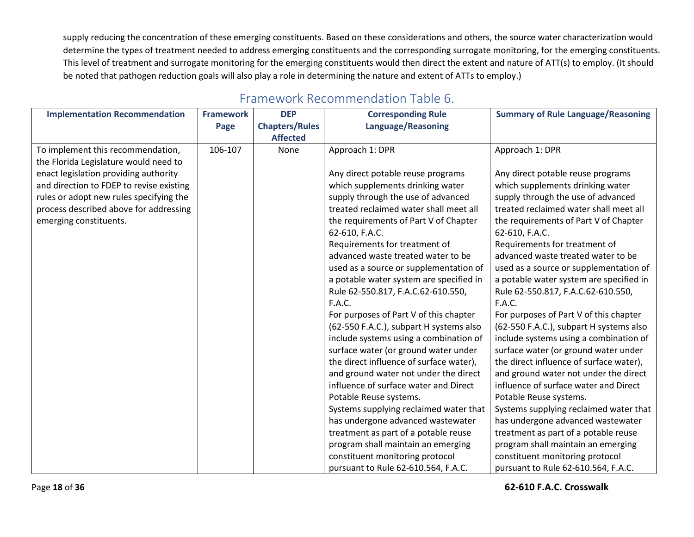supply reducing the concentration of these emerging constituents. Based on these considerations and others, the source water characterization would determine the types of treatment needed to address emerging constituents and the corresponding surrogate monitoring, for the emerging constituents. This level of treatment and surrogate monitoring for the emerging constituents would then direct the extent and nature of ATT(s) to employ. (It should be noted that pathogen reduction goals will also play a role in determining the nature and extent of ATTs to employ.)

| <b>Implementation Recommendation</b>     | <b>Framework</b> | <b>DEP</b>            | <b>Corresponding Rule</b>               | <b>Summary of Rule Language/Reasoning</b> |
|------------------------------------------|------------------|-----------------------|-----------------------------------------|-------------------------------------------|
|                                          | Page             | <b>Chapters/Rules</b> | <b>Language/Reasoning</b>               |                                           |
|                                          |                  | <b>Affected</b>       |                                         |                                           |
| To implement this recommendation,        | 106-107          | None                  | Approach 1: DPR                         | Approach 1: DPR                           |
| the Florida Legislature would need to    |                  |                       |                                         |                                           |
| enact legislation providing authority    |                  |                       | Any direct potable reuse programs       | Any direct potable reuse programs         |
| and direction to FDEP to revise existing |                  |                       | which supplements drinking water        | which supplements drinking water          |
| rules or adopt new rules specifying the  |                  |                       | supply through the use of advanced      | supply through the use of advanced        |
| process described above for addressing   |                  |                       | treated reclaimed water shall meet all  | treated reclaimed water shall meet all    |
| emerging constituents.                   |                  |                       | the requirements of Part V of Chapter   | the requirements of Part V of Chapter     |
|                                          |                  |                       | 62-610, F.A.C.                          | 62-610, F.A.C.                            |
|                                          |                  |                       | Requirements for treatment of           | Requirements for treatment of             |
|                                          |                  |                       | advanced waste treated water to be      | advanced waste treated water to be        |
|                                          |                  |                       | used as a source or supplementation of  | used as a source or supplementation of    |
|                                          |                  |                       | a potable water system are specified in | a potable water system are specified in   |
|                                          |                  |                       | Rule 62-550.817, F.A.C.62-610.550,      | Rule 62-550.817, F.A.C.62-610.550,        |
|                                          |                  |                       | F.A.C.                                  | <b>F.A.C.</b>                             |
|                                          |                  |                       | For purposes of Part V of this chapter  | For purposes of Part V of this chapter    |
|                                          |                  |                       | (62-550 F.A.C.), subpart H systems also | (62-550 F.A.C.), subpart H systems also   |
|                                          |                  |                       | include systems using a combination of  | include systems using a combination of    |
|                                          |                  |                       | surface water (or ground water under    | surface water (or ground water under      |
|                                          |                  |                       | the direct influence of surface water), | the direct influence of surface water),   |
|                                          |                  |                       | and ground water not under the direct   | and ground water not under the direct     |
|                                          |                  |                       | influence of surface water and Direct   | influence of surface water and Direct     |
|                                          |                  |                       | Potable Reuse systems.                  | Potable Reuse systems.                    |
|                                          |                  |                       | Systems supplying reclaimed water that  | Systems supplying reclaimed water that    |
|                                          |                  |                       | has undergone advanced wastewater       | has undergone advanced wastewater         |
|                                          |                  |                       | treatment as part of a potable reuse    | treatment as part of a potable reuse      |
|                                          |                  |                       | program shall maintain an emerging      | program shall maintain an emerging        |
|                                          |                  |                       | constituent monitoring protocol         | constituent monitoring protocol           |
|                                          |                  |                       | pursuant to Rule 62-610.564, F.A.C.     | pursuant to Rule 62-610.564, F.A.C.       |

## Framework Recommendation Table 6.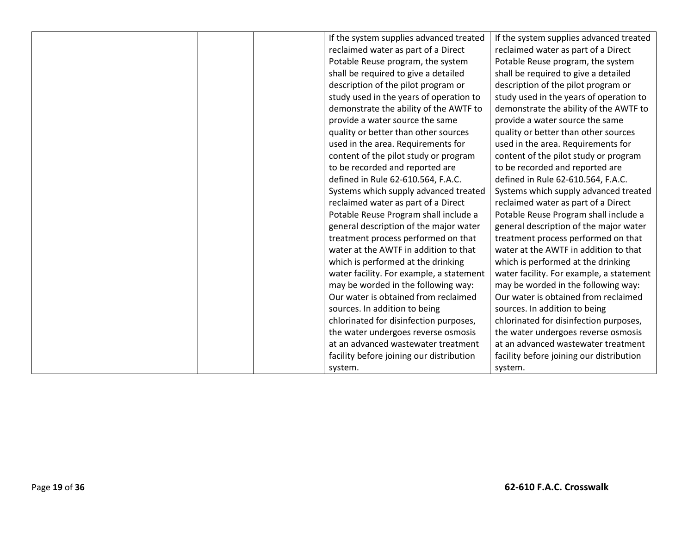|  | If the system supplies advanced treated  | If the system supplies advanced treated  |
|--|------------------------------------------|------------------------------------------|
|  | reclaimed water as part of a Direct      | reclaimed water as part of a Direct      |
|  | Potable Reuse program, the system        | Potable Reuse program, the system        |
|  | shall be required to give a detailed     | shall be required to give a detailed     |
|  | description of the pilot program or      | description of the pilot program or      |
|  | study used in the years of operation to  | study used in the years of operation to  |
|  | demonstrate the ability of the AWTF to   | demonstrate the ability of the AWTF to   |
|  | provide a water source the same          | provide a water source the same          |
|  | quality or better than other sources     | quality or better than other sources     |
|  | used in the area. Requirements for       | used in the area. Requirements for       |
|  | content of the pilot study or program    | content of the pilot study or program    |
|  | to be recorded and reported are          | to be recorded and reported are          |
|  | defined in Rule 62-610.564, F.A.C.       | defined in Rule 62-610.564, F.A.C.       |
|  | Systems which supply advanced treated    | Systems which supply advanced treated    |
|  | reclaimed water as part of a Direct      | reclaimed water as part of a Direct      |
|  | Potable Reuse Program shall include a    | Potable Reuse Program shall include a    |
|  | general description of the major water   | general description of the major water   |
|  | treatment process performed on that      | treatment process performed on that      |
|  | water at the AWTF in addition to that    | water at the AWTF in addition to that    |
|  | which is performed at the drinking       | which is performed at the drinking       |
|  | water facility. For example, a statement | water facility. For example, a statement |
|  | may be worded in the following way:      | may be worded in the following way:      |
|  | Our water is obtained from reclaimed     | Our water is obtained from reclaimed     |
|  | sources. In addition to being            | sources. In addition to being            |
|  | chlorinated for disinfection purposes,   | chlorinated for disinfection purposes,   |
|  | the water undergoes reverse osmosis      | the water undergoes reverse osmosis      |
|  | at an advanced wastewater treatment      | at an advanced wastewater treatment      |
|  | facility before joining our distribution | facility before joining our distribution |
|  | system.                                  | system.                                  |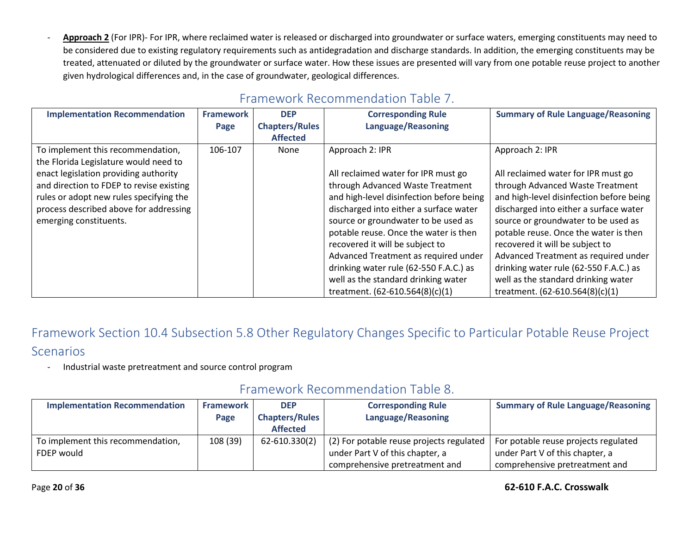Approach 2 (For IPR)- For IPR, where reclaimed water is released or discharged into groundwater or surface waters, emerging constituents may need to be considered due to existing regulatory requirements such as antidegradation and discharge standards. In addition, the emerging constituents may be treated, attenuated or diluted by the groundwater or surface water. How these issues are presented will vary from one potable reuse project to another given hydrological differences and, in the case of groundwater, geological differences.

| Framework Recommendation Table 7. |  |  |
|-----------------------------------|--|--|
|                                   |  |  |

| <b>Implementation Recommendation</b>     | <b>Framework</b> | <b>DEP</b>            | <b>Corresponding Rule</b>                | <b>Summary of Rule Language/Reasoning</b> |
|------------------------------------------|------------------|-----------------------|------------------------------------------|-------------------------------------------|
|                                          | Page             | <b>Chapters/Rules</b> | <b>Language/Reasoning</b>                |                                           |
|                                          |                  | <b>Affected</b>       |                                          |                                           |
| To implement this recommendation,        | 106-107          | None                  | Approach 2: IPR                          | Approach 2: IPR                           |
| the Florida Legislature would need to    |                  |                       |                                          |                                           |
| enact legislation providing authority    |                  |                       | All reclaimed water for IPR must go      | All reclaimed water for IPR must go       |
| and direction to FDEP to revise existing |                  |                       | through Advanced Waste Treatment         | through Advanced Waste Treatment          |
| rules or adopt new rules specifying the  |                  |                       | and high-level disinfection before being | and high-level disinfection before being  |
| process described above for addressing   |                  |                       | discharged into either a surface water   | discharged into either a surface water    |
| emerging constituents.                   |                  |                       | source or groundwater to be used as      | source or groundwater to be used as       |
|                                          |                  |                       | potable reuse. Once the water is then    | potable reuse. Once the water is then     |
|                                          |                  |                       | recovered it will be subject to          | recovered it will be subject to           |
|                                          |                  |                       | Advanced Treatment as required under     | Advanced Treatment as required under      |
|                                          |                  |                       | drinking water rule (62-550 F.A.C.) as   | drinking water rule (62-550 F.A.C.) as    |
|                                          |                  |                       | well as the standard drinking water      | well as the standard drinking water       |
|                                          |                  |                       | treatment. (62-610.564(8)(c)(1)          | treatment. (62-610.564(8)(c)(1)           |

Framework Section 10.4 Subsection 5.8 Other Regulatory Changes Specific to Particular Potable Reuse Project Scenarios

- Industrial waste pretreatment and source control program

## Framework Recommendation Table 8.

| <b>Implementation Recommendation</b> | <b>Framework</b> | <b>DEP</b>            | <b>Corresponding Rule</b>                | <b>Summary of Rule Language/Reasoning</b> |
|--------------------------------------|------------------|-----------------------|------------------------------------------|-------------------------------------------|
|                                      | Page             | <b>Chapters/Rules</b> | Language/Reasoning                       |                                           |
|                                      |                  | <b>Affected</b>       |                                          |                                           |
| To implement this recommendation,    | 108 (39)         | 62-610.330(2)         | (2) For potable reuse projects regulated | For potable reuse projects regulated      |
| FDEP would                           |                  |                       | under Part V of this chapter, a          | under Part V of this chapter, a           |
|                                      |                  |                       | comprehensive pretreatment and           | comprehensive pretreatment and            |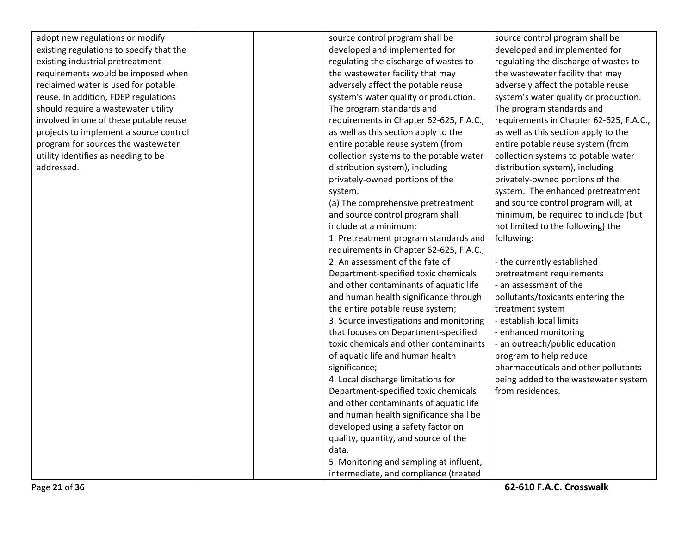adopt new regulations or existing regulations to specify existing industrial pretrea requirements would be reclaimed water is used reuse. In addition, FDEP should require a wastewa involved in one of these projects to implement a program for sources the utility identifies as needir addressed.

| r modify        |  | source control program shall be         | source control program shall be         |
|-----------------|--|-----------------------------------------|-----------------------------------------|
| becify that the |  | developed and implemented for           | developed and implemented for           |
| atment          |  | regulating the discharge of wastes to   | regulating the discharge of wastes to   |
| imposed when    |  | the wastewater facility that may        | the wastewater facility that may        |
| for potable     |  | adversely affect the potable reuse      | adversely affect the potable reuse      |
| regulations     |  | system's water quality or production.   | system's water quality or production.   |
| ater utility    |  | The program standards and               | The program standards and               |
| potable reuse   |  | requirements in Chapter 62-625, F.A.C., | requirements in Chapter 62-625, F.A.C., |
| source control  |  | as well as this section apply to the    | as well as this section apply to the    |
| wastewater      |  | entire potable reuse system (from       | entire potable reuse system (from       |
| ing to be       |  | collection systems to the potable water | collection systems to potable water     |
|                 |  | distribution system), including         | distribution system), including         |
|                 |  | privately-owned portions of the         | privately-owned portions of the         |
|                 |  | system.                                 | system. The enhanced pretreatment       |
|                 |  | (a) The comprehensive pretreatment      | and source control program will, at     |
|                 |  | and source control program shall        | minimum, be required to include (but    |
|                 |  | include at a minimum:                   | not limited to the following) the       |
|                 |  | 1. Pretreatment program standards and   | following:                              |
|                 |  | requirements in Chapter 62-625, F.A.C.; |                                         |
|                 |  | 2. An assessment of the fate of         | - the currently established             |
|                 |  | Department-specified toxic chemicals    | pretreatment requirements               |
|                 |  | and other contaminants of aquatic life  | - an assessment of the                  |
|                 |  | and human health significance through   | pollutants/toxicants entering the       |
|                 |  | the entire potable reuse system;        | treatment system                        |
|                 |  | 3. Source investigations and monitoring | - establish local limits                |
|                 |  | that focuses on Department-specified    | - enhanced monitoring                   |
|                 |  | toxic chemicals and other contaminants  | - an outreach/public education          |
|                 |  | of aquatic life and human health        | program to help reduce                  |
|                 |  | significance;                           | pharmaceuticals and other pollutants    |
|                 |  | 4. Local discharge limitations for      | being added to the wastewater system    |
|                 |  | Department-specified toxic chemicals    | from residences.                        |
|                 |  | and other contaminants of aquatic life  |                                         |
|                 |  | and human health significance shall be  |                                         |
|                 |  | developed using a safety factor on      |                                         |
|                 |  | quality, quantity, and source of the    |                                         |
|                 |  | data.                                   |                                         |
|                 |  | 5. Monitoring and sampling at influent, |                                         |
|                 |  | intermediate, and compliance (treated   |                                         |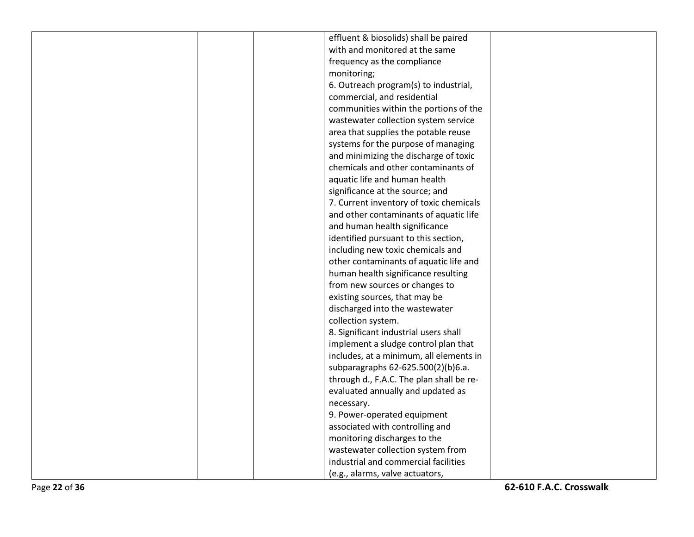| effluent & biosolids) shall be paired    |
|------------------------------------------|
| with and monitored at the same           |
| frequency as the compliance              |
| monitoring;                              |
| 6. Outreach program(s) to industrial,    |
| commercial, and residential              |
| communities within the portions of the   |
| wastewater collection system service     |
| area that supplies the potable reuse     |
| systems for the purpose of managing      |
| and minimizing the discharge of toxic    |
| chemicals and other contaminants of      |
| aquatic life and human health            |
| significance at the source; and          |
| 7. Current inventory of toxic chemicals  |
| and other contaminants of aquatic life   |
| and human health significance            |
| identified pursuant to this section,     |
| including new toxic chemicals and        |
| other contaminants of aquatic life and   |
| human health significance resulting      |
| from new sources or changes to           |
| existing sources, that may be            |
| discharged into the wastewater           |
| collection system.                       |
| 8. Significant industrial users shall    |
| implement a sludge control plan that     |
| includes, at a minimum, all elements in  |
| subparagraphs 62-625.500(2)(b)6.a.       |
| through d., F.A.C. The plan shall be re- |
| evaluated annually and updated as        |
| necessary.                               |
| 9. Power-operated equipment              |
| associated with controlling and          |
| monitoring discharges to the             |
| wastewater collection system from        |
| industrial and commercial facilities     |
| (e.g., alarms, valve actuators,          |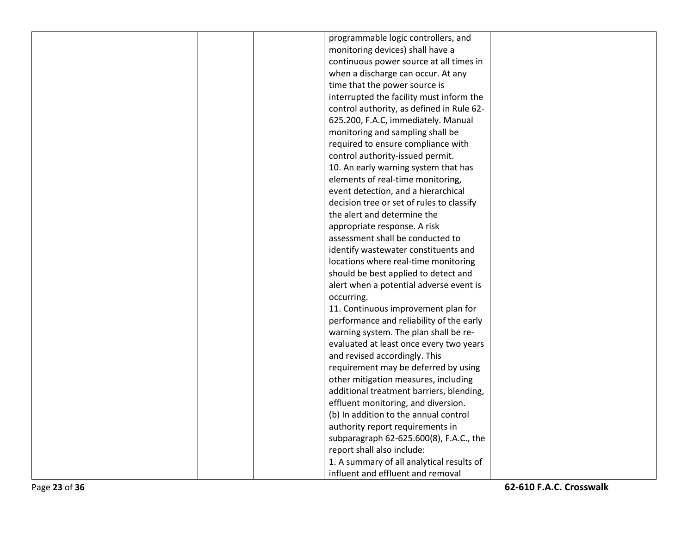|  | programmable logic controllers, and       |  |
|--|-------------------------------------------|--|
|  | monitoring devices) shall have a          |  |
|  | continuous power source at all times in   |  |
|  | when a discharge can occur. At any        |  |
|  | time that the power source is             |  |
|  | interrupted the facility must inform the  |  |
|  | control authority, as defined in Rule 62- |  |
|  | 625.200, F.A.C, immediately. Manual       |  |
|  | monitoring and sampling shall be          |  |
|  | required to ensure compliance with        |  |
|  | control authority-issued permit.          |  |
|  | 10. An early warning system that has      |  |
|  | elements of real-time monitoring,         |  |
|  | event detection, and a hierarchical       |  |
|  | decision tree or set of rules to classify |  |
|  | the alert and determine the               |  |
|  | appropriate response. A risk              |  |
|  | assessment shall be conducted to          |  |
|  | identify wastewater constituents and      |  |
|  | locations where real-time monitoring      |  |
|  | should be best applied to detect and      |  |
|  | alert when a potential adverse event is   |  |
|  | occurring.                                |  |
|  | 11. Continuous improvement plan for       |  |
|  | performance and reliability of the early  |  |
|  | warning system. The plan shall be re-     |  |
|  | evaluated at least once every two years   |  |
|  | and revised accordingly. This             |  |
|  | requirement may be deferred by using      |  |
|  | other mitigation measures, including      |  |
|  | additional treatment barriers, blending,  |  |
|  | effluent monitoring, and diversion.       |  |
|  | (b) In addition to the annual control     |  |
|  | authority report requirements in          |  |
|  | subparagraph 62-625.600(8), F.A.C., the   |  |
|  | report shall also include:                |  |
|  | 1. A summary of all analytical results of |  |
|  | influent and effluent and removal         |  |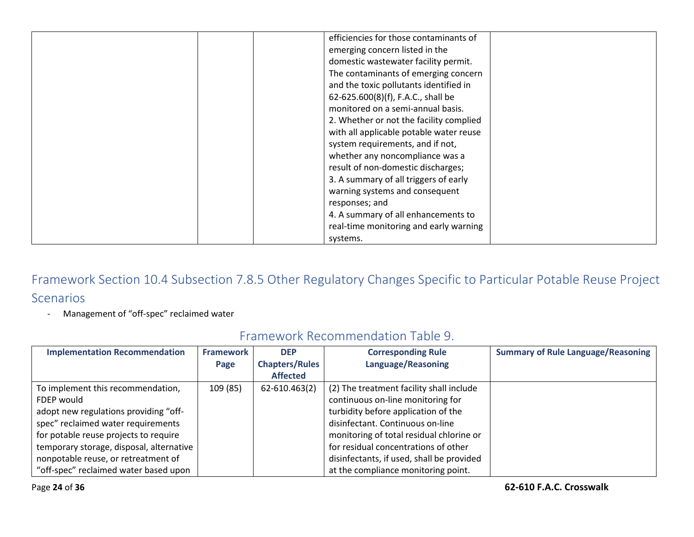| efficiencies for those contaminants of  |
|-----------------------------------------|
| emerging concern listed in the          |
|                                         |
| domestic wastewater facility permit.    |
| The contaminants of emerging concern    |
| and the toxic pollutants identified in  |
| 62-625.600(8)(f), F.A.C., shall be      |
| monitored on a semi-annual basis.       |
| 2. Whether or not the facility complied |
| with all applicable potable water reuse |
| system requirements, and if not,        |
| whether any noncompliance was a         |
| result of non-domestic discharges;      |
| 3. A summary of all triggers of early   |
| warning systems and consequent          |
| responses; and                          |
| 4. A summary of all enhancements to     |
| real-time monitoring and early warning  |
| systems.                                |

- Management of "off-spec" reclaimed water

| <b>Implementation Recommendation</b>     | <b>Framework</b> | <b>DEP</b><br><b>Chapters/Rules</b> | <b>Corresponding Rule</b><br>Language/Reasoning | <b>Summary of Rule Language/Reasoning</b> |
|------------------------------------------|------------------|-------------------------------------|-------------------------------------------------|-------------------------------------------|
|                                          | Page             | <b>Affected</b>                     |                                                 |                                           |
| To implement this recommendation,        | 109 (85)         | 62-610.463(2)                       | (2) The treatment facility shall include        |                                           |
| FDEP would                               |                  |                                     | continuous on-line monitoring for               |                                           |
| adopt new regulations providing "off-    |                  |                                     | turbidity before application of the             |                                           |
| spec" reclaimed water requirements       |                  |                                     | disinfectant. Continuous on-line                |                                           |
| for potable reuse projects to require    |                  |                                     | monitoring of total residual chlorine or        |                                           |
| temporary storage, disposal, alternative |                  |                                     | for residual concentrations of other            |                                           |
| nonpotable reuse, or retreatment of      |                  |                                     | disinfectants, if used, shall be provided       |                                           |
| "off-spec" reclaimed water based upon    |                  |                                     | at the compliance monitoring point.             |                                           |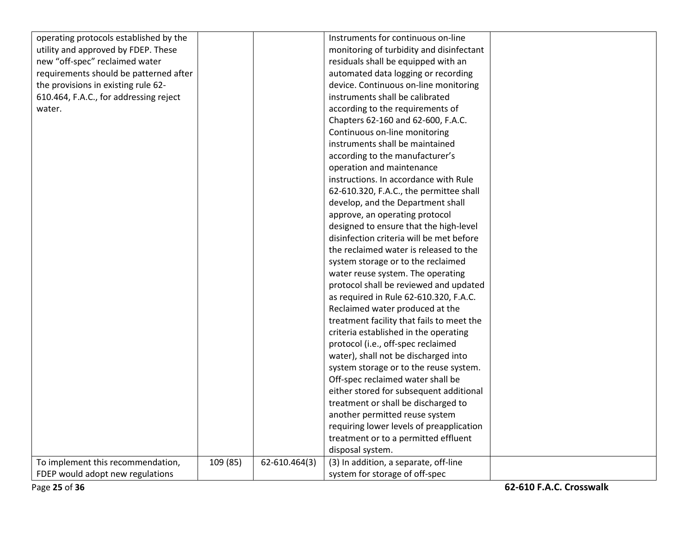| operating protocols established by the |          |               | Instruments for continuous on-line        |  |
|----------------------------------------|----------|---------------|-------------------------------------------|--|
| utility and approved by FDEP. These    |          |               | monitoring of turbidity and disinfectant  |  |
| new "off-spec" reclaimed water         |          |               | residuals shall be equipped with an       |  |
| requirements should be patterned after |          |               | automated data logging or recording       |  |
| the provisions in existing rule 62-    |          |               | device. Continuous on-line monitoring     |  |
| 610.464, F.A.C., for addressing reject |          |               | instruments shall be calibrated           |  |
| water.                                 |          |               | according to the requirements of          |  |
|                                        |          |               | Chapters 62-160 and 62-600, F.A.C.        |  |
|                                        |          |               | Continuous on-line monitoring             |  |
|                                        |          |               | instruments shall be maintained           |  |
|                                        |          |               | according to the manufacturer's           |  |
|                                        |          |               | operation and maintenance                 |  |
|                                        |          |               | instructions. In accordance with Rule     |  |
|                                        |          |               | 62-610.320, F.A.C., the permittee shall   |  |
|                                        |          |               | develop, and the Department shall         |  |
|                                        |          |               | approve, an operating protocol            |  |
|                                        |          |               | designed to ensure that the high-level    |  |
|                                        |          |               | disinfection criteria will be met before  |  |
|                                        |          |               | the reclaimed water is released to the    |  |
|                                        |          |               | system storage or to the reclaimed        |  |
|                                        |          |               | water reuse system. The operating         |  |
|                                        |          |               | protocol shall be reviewed and updated    |  |
|                                        |          |               | as required in Rule 62-610.320, F.A.C.    |  |
|                                        |          |               | Reclaimed water produced at the           |  |
|                                        |          |               | treatment facility that fails to meet the |  |
|                                        |          |               | criteria established in the operating     |  |
|                                        |          |               | protocol (i.e., off-spec reclaimed        |  |
|                                        |          |               | water), shall not be discharged into      |  |
|                                        |          |               | system storage or to the reuse system.    |  |
|                                        |          |               | Off-spec reclaimed water shall be         |  |
|                                        |          |               | either stored for subsequent additional   |  |
|                                        |          |               | treatment or shall be discharged to       |  |
|                                        |          |               | another permitted reuse system            |  |
|                                        |          |               | requiring lower levels of preapplication  |  |
|                                        |          |               | treatment or to a permitted effluent      |  |
|                                        |          |               | disposal system.                          |  |
| To implement this recommendation,      | 109 (85) | 62-610.464(3) | (3) In addition, a separate, off-line     |  |
| FDEP would adopt new regulations       |          |               | system for storage of off-spec            |  |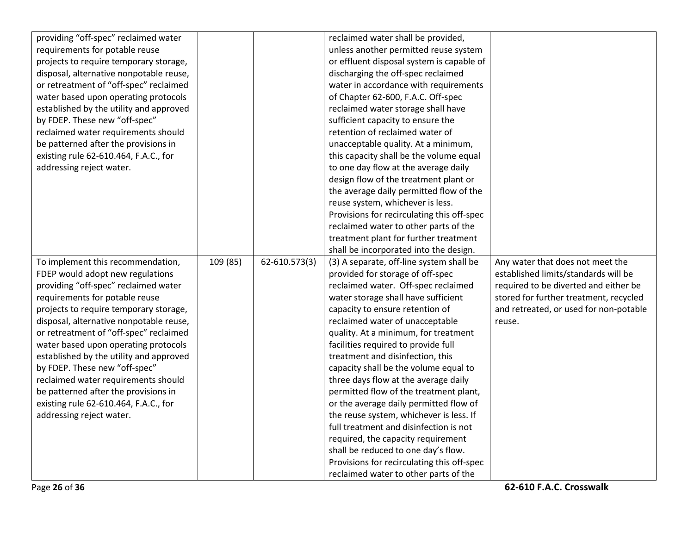| providing "off-spec" reclaimed water    |          |               | reclaimed water shall be provided,         |                                        |
|-----------------------------------------|----------|---------------|--------------------------------------------|----------------------------------------|
| requirements for potable reuse          |          |               | unless another permitted reuse system      |                                        |
| projects to require temporary storage,  |          |               | or effluent disposal system is capable of  |                                        |
| disposal, alternative nonpotable reuse, |          |               | discharging the off-spec reclaimed         |                                        |
| or retreatment of "off-spec" reclaimed  |          |               | water in accordance with requirements      |                                        |
| water based upon operating protocols    |          |               | of Chapter 62-600, F.A.C. Off-spec         |                                        |
| established by the utility and approved |          |               | reclaimed water storage shall have         |                                        |
| by FDEP. These new "off-spec"           |          |               | sufficient capacity to ensure the          |                                        |
| reclaimed water requirements should     |          |               | retention of reclaimed water of            |                                        |
| be patterned after the provisions in    |          |               | unacceptable quality. At a minimum,        |                                        |
| existing rule 62-610.464, F.A.C., for   |          |               | this capacity shall be the volume equal    |                                        |
| addressing reject water.                |          |               | to one day flow at the average daily       |                                        |
|                                         |          |               | design flow of the treatment plant or      |                                        |
|                                         |          |               | the average daily permitted flow of the    |                                        |
|                                         |          |               | reuse system, whichever is less.           |                                        |
|                                         |          |               | Provisions for recirculating this off-spec |                                        |
|                                         |          |               | reclaimed water to other parts of the      |                                        |
|                                         |          |               | treatment plant for further treatment      |                                        |
|                                         |          |               | shall be incorporated into the design.     |                                        |
| To implement this recommendation,       | 109 (85) | 62-610.573(3) | (3) A separate, off-line system shall be   | Any water that does not meet the       |
| FDEP would adopt new regulations        |          |               | provided for storage of off-spec           | established limits/standards will be   |
| providing "off-spec" reclaimed water    |          |               | reclaimed water. Off-spec reclaimed        | required to be diverted and either be  |
| requirements for potable reuse          |          |               | water storage shall have sufficient        | stored for further treatment, recycled |
| projects to require temporary storage,  |          |               | capacity to ensure retention of            | and retreated, or used for non-potable |
| disposal, alternative nonpotable reuse, |          |               | reclaimed water of unacceptable            | reuse.                                 |
| or retreatment of "off-spec" reclaimed  |          |               | quality. At a minimum, for treatment       |                                        |
| water based upon operating protocols    |          |               | facilities required to provide full        |                                        |
| established by the utility and approved |          |               | treatment and disinfection, this           |                                        |
| by FDEP. These new "off-spec"           |          |               | capacity shall be the volume equal to      |                                        |
| reclaimed water requirements should     |          |               | three days flow at the average daily       |                                        |
| be patterned after the provisions in    |          |               | permitted flow of the treatment plant,     |                                        |
| existing rule 62-610.464, F.A.C., for   |          |               | or the average daily permitted flow of     |                                        |
| addressing reject water.                |          |               | the reuse system, whichever is less. If    |                                        |
|                                         |          |               | full treatment and disinfection is not     |                                        |
|                                         |          |               | required, the capacity requirement         |                                        |
|                                         |          |               | shall be reduced to one day's flow.        |                                        |
|                                         |          |               | Provisions for recirculating this off-spec |                                        |
|                                         |          |               | reclaimed water to other parts of the      |                                        |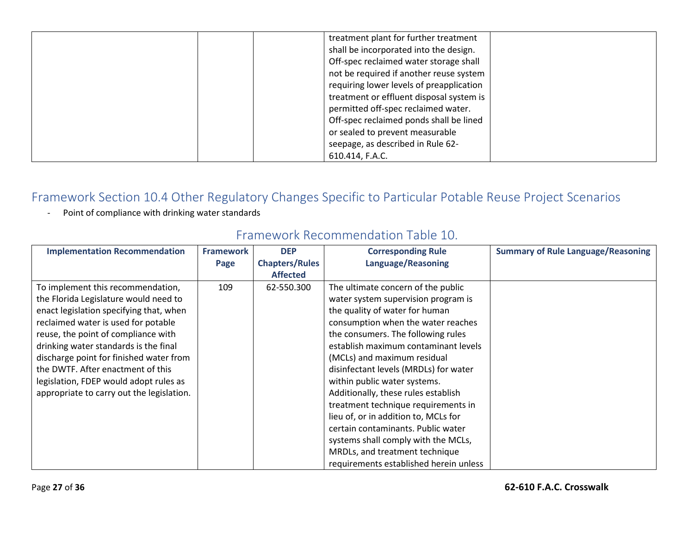| treatment plant for further treatment<br>shall be incorporated into the design.<br>Off-spec reclaimed water storage shall<br>not be required if another reuse system<br>requiring lower levels of preapplication<br>treatment or effluent disposal system is<br>permitted off-spec reclaimed water. |
|-----------------------------------------------------------------------------------------------------------------------------------------------------------------------------------------------------------------------------------------------------------------------------------------------------|
| Off-spec reclaimed ponds shall be lined<br>or sealed to prevent measurable<br>seepage, as described in Rule 62-<br>610.414, F.A.C.                                                                                                                                                                  |

- Point of compliance with drinking water standards

| <b>Implementation Recommendation</b>      | <b>Framework</b> | <b>DEP</b>            | <b>Corresponding Rule</b>              | <b>Summary of Rule Language/Reasoning</b> |
|-------------------------------------------|------------------|-----------------------|----------------------------------------|-------------------------------------------|
|                                           | Page             | <b>Chapters/Rules</b> | <b>Language/Reasoning</b>              |                                           |
|                                           |                  | <b>Affected</b>       |                                        |                                           |
| To implement this recommendation,         | 109              | 62-550.300            | The ultimate concern of the public     |                                           |
| the Florida Legislature would need to     |                  |                       | water system supervision program is    |                                           |
| enact legislation specifying that, when   |                  |                       | the quality of water for human         |                                           |
| reclaimed water is used for potable       |                  |                       | consumption when the water reaches     |                                           |
| reuse, the point of compliance with       |                  |                       | the consumers. The following rules     |                                           |
| drinking water standards is the final     |                  |                       | establish maximum contaminant levels   |                                           |
| discharge point for finished water from   |                  |                       | (MCLs) and maximum residual            |                                           |
| the DWTF. After enactment of this         |                  |                       | disinfectant levels (MRDLs) for water  |                                           |
| legislation, FDEP would adopt rules as    |                  |                       | within public water systems.           |                                           |
| appropriate to carry out the legislation. |                  |                       | Additionally, these rules establish    |                                           |
|                                           |                  |                       | treatment technique requirements in    |                                           |
|                                           |                  |                       | lieu of, or in addition to, MCLs for   |                                           |
|                                           |                  |                       | certain contaminants. Public water     |                                           |
|                                           |                  |                       | systems shall comply with the MCLs,    |                                           |
|                                           |                  |                       | MRDLs, and treatment technique         |                                           |
|                                           |                  |                       | requirements established herein unless |                                           |

## Framework Recommendation Table 10.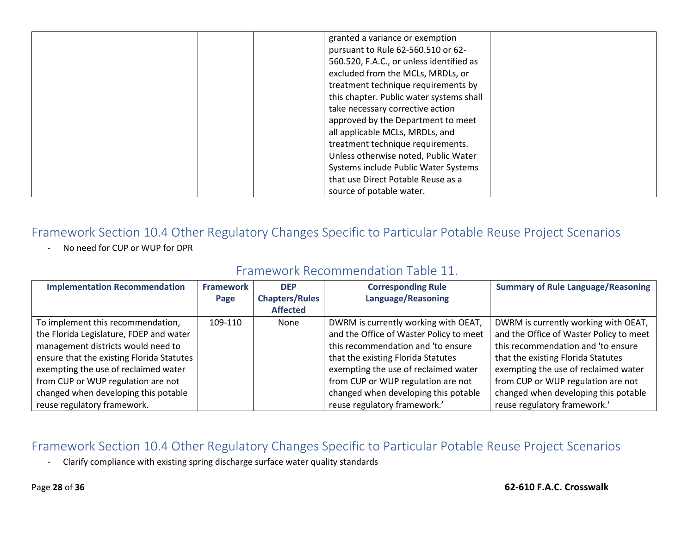| granted a variance or exemption          |
|------------------------------------------|
| pursuant to Rule 62-560.510 or 62-       |
| 560.520, F.A.C., or unless identified as |
| excluded from the MCLs, MRDLs, or        |
| treatment technique requirements by      |
| this chapter. Public water systems shall |
| take necessary corrective action         |
| approved by the Department to meet       |
| all applicable MCLs, MRDLs, and          |
|                                          |
| treatment technique requirements.        |
| Unless otherwise noted, Public Water     |
| Systems include Public Water Systems     |
| that use Direct Potable Reuse as a       |
| source of potable water.                 |

- No need for CUP or WUP for DPR

## Framework Recommendation Table 11.

| <b>Implementation Recommendation</b>      | <b>Framework</b> | <b>DEP</b>            | <b>Corresponding Rule</b>               | <b>Summary of Rule Language/Reasoning</b> |
|-------------------------------------------|------------------|-----------------------|-----------------------------------------|-------------------------------------------|
|                                           | Page             | <b>Chapters/Rules</b> | <b>Language/Reasoning</b>               |                                           |
|                                           |                  | <b>Affected</b>       |                                         |                                           |
| To implement this recommendation,         | 109-110          | None                  | DWRM is currently working with OEAT,    | DWRM is currently working with OEAT,      |
| the Florida Legislature, FDEP and water   |                  |                       | and the Office of Waster Policy to meet | and the Office of Waster Policy to meet   |
| management districts would need to        |                  |                       | this recommendation and 'to ensure      | this recommendation and 'to ensure        |
| ensure that the existing Florida Statutes |                  |                       | that the existing Florida Statutes      | that the existing Florida Statutes        |
| exempting the use of reclaimed water      |                  |                       | exempting the use of reclaimed water    | exempting the use of reclaimed water      |
| from CUP or WUP regulation are not        |                  |                       | from CUP or WUP regulation are not      | from CUP or WUP regulation are not        |
| changed when developing this potable      |                  |                       | changed when developing this potable    | changed when developing this potable      |
| reuse regulatory framework.               |                  |                       | reuse regulatory framework.'            | reuse regulatory framework.'              |

#### Framework Section 10.4 Other Regulatory Changes Specific to Particular Potable Reuse Project Scenarios

- Clarify compliance with existing spring discharge surface water quality standards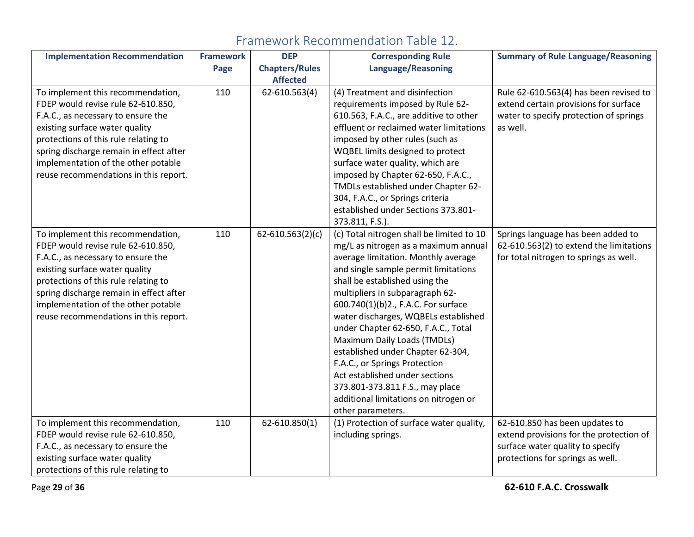| <b>Implementation Recommendation</b>    | <b>Framework</b> | <b>DEP</b>            | <b>Corresponding Rule</b>                 | <b>Summary of Rule Language/Reasoning</b> |
|-----------------------------------------|------------------|-----------------------|-------------------------------------------|-------------------------------------------|
|                                         | Page             | <b>Chapters/Rules</b> | Language/Reasoning                        |                                           |
|                                         |                  | <b>Affected</b>       |                                           |                                           |
| To implement this recommendation,       | 110              | 62-610.563(4)         | (4) Treatment and disinfection            | Rule 62-610.563(4) has been revised to    |
| FDEP would revise rule 62-610.850,      |                  |                       | requirements imposed by Rule 62-          | extend certain provisions for surface     |
| F.A.C., as necessary to ensure the      |                  |                       | 610.563, F.A.C., are additive to other    | water to specify protection of springs    |
| existing surface water quality          |                  |                       | effluent or reclaimed water limitations   | as well.                                  |
| protections of this rule relating to    |                  |                       | imposed by other rules (such as           |                                           |
| spring discharge remain in effect after |                  |                       | WQBEL limits designed to protect          |                                           |
| implementation of the other potable     |                  |                       | surface water quality, which are          |                                           |
| reuse recommendations in this report.   |                  |                       | imposed by Chapter 62-650, F.A.C.,        |                                           |
|                                         |                  |                       | TMDLs established under Chapter 62-       |                                           |
|                                         |                  |                       | 304, F.A.C., or Springs criteria          |                                           |
|                                         |                  |                       | established under Sections 373.801-       |                                           |
|                                         |                  |                       | 373.811, F.S.).                           |                                           |
| To implement this recommendation,       | 110              | $62 - 610.563(2)(c)$  | (c) Total nitrogen shall be limited to 10 | Springs language has been added to        |
| FDEP would revise rule 62-610.850,      |                  |                       | mg/L as nitrogen as a maximum annual      | 62-610.563(2) to extend the limitations   |
| F.A.C., as necessary to ensure the      |                  |                       | average limitation. Monthly average       | for total nitrogen to springs as well.    |
| existing surface water quality          |                  |                       | and single sample permit limitations      |                                           |
| protections of this rule relating to    |                  |                       | shall be established using the            |                                           |
| spring discharge remain in effect after |                  |                       | multipliers in subparagraph 62-           |                                           |
| implementation of the other potable     |                  |                       | 600.740(1)(b)2., F.A.C. For surface       |                                           |
| reuse recommendations in this report.   |                  |                       | water discharges, WQBELs established      |                                           |
|                                         |                  |                       | under Chapter 62-650, F.A.C., Total       |                                           |
|                                         |                  |                       | Maximum Daily Loads (TMDLs)               |                                           |
|                                         |                  |                       | established under Chapter 62-304,         |                                           |
|                                         |                  |                       | F.A.C., or Springs Protection             |                                           |
|                                         |                  |                       | Act established under sections            |                                           |
|                                         |                  |                       | 373.801-373.811 F.S., may place           |                                           |
|                                         |                  |                       | additional limitations on nitrogen or     |                                           |
|                                         |                  |                       | other parameters.                         |                                           |
| To implement this recommendation,       | 110              | 62-610.850(1)         | (1) Protection of surface water quality,  | 62-610.850 has been updates to            |
| FDEP would revise rule 62-610.850,      |                  |                       | including springs.                        | extend provisions for the protection of   |
| F.A.C., as necessary to ensure the      |                  |                       |                                           | surface water quality to specify          |
| existing surface water quality          |                  |                       |                                           | protections for springs as well.          |
| protections of this rule relating to    |                  |                       |                                           |                                           |

## Framework Recommendation Table 12.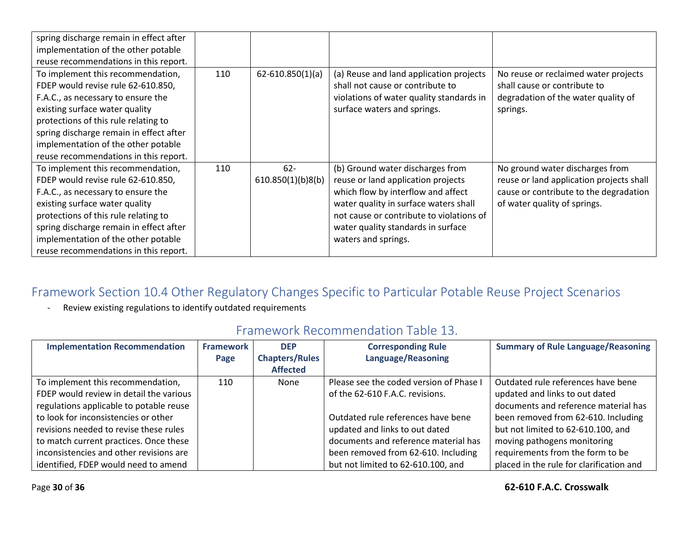| spring discharge remain in effect after<br>implementation of the other potable<br>reuse recommendations in this report.                                                                                                                                                                                            |     |                             |                                                                                                                                                                                                                                                                |                                                                                                                                                       |
|--------------------------------------------------------------------------------------------------------------------------------------------------------------------------------------------------------------------------------------------------------------------------------------------------------------------|-----|-----------------------------|----------------------------------------------------------------------------------------------------------------------------------------------------------------------------------------------------------------------------------------------------------------|-------------------------------------------------------------------------------------------------------------------------------------------------------|
| To implement this recommendation,<br>FDEP would revise rule 62-610.850,<br>F.A.C., as necessary to ensure the<br>existing surface water quality<br>protections of this rule relating to<br>spring discharge remain in effect after<br>implementation of the other potable<br>reuse recommendations in this report. | 110 | $62 - 610.850(1)(a)$        | (a) Reuse and land application projects<br>shall not cause or contribute to<br>violations of water quality standards in<br>surface waters and springs.                                                                                                         | No reuse or reclaimed water projects<br>shall cause or contribute to<br>degradation of the water quality of<br>springs.                               |
| To implement this recommendation,<br>FDEP would revise rule 62-610.850,<br>F.A.C., as necessary to ensure the<br>existing surface water quality<br>protections of this rule relating to<br>spring discharge remain in effect after<br>implementation of the other potable<br>reuse recommendations in this report. | 110 | $62 -$<br>610.850(1)(b)8(b) | (b) Ground water discharges from<br>reuse or land application projects<br>which flow by interflow and affect<br>water quality in surface waters shall<br>not cause or contribute to violations of<br>water quality standards in surface<br>waters and springs. | No ground water discharges from<br>reuse or land application projects shall<br>cause or contribute to the degradation<br>of water quality of springs. |

- Review existing regulations to identify outdated requirements

| <b>Implementation Recommendation</b>    | <b>Framework</b><br>Page | <b>DEP</b><br><b>Chapters/Rules</b><br><b>Affected</b> | <b>Corresponding Rule</b><br>Language/Reasoning | <b>Summary of Rule Language/Reasoning</b> |
|-----------------------------------------|--------------------------|--------------------------------------------------------|-------------------------------------------------|-------------------------------------------|
| To implement this recommendation,       | 110                      | None                                                   | Please see the coded version of Phase I         | Outdated rule references have bene        |
| FDEP would review in detail the various |                          |                                                        | of the 62-610 F.A.C. revisions.                 | updated and links to out dated            |
| regulations applicable to potable reuse |                          |                                                        |                                                 | documents and reference material has      |
| to look for inconsistencies or other    |                          |                                                        | Outdated rule references have bene              | been removed from 62-610. Including       |
| revisions needed to revise these rules  |                          |                                                        | updated and links to out dated                  | but not limited to 62-610.100, and        |
| to match current practices. Once these  |                          |                                                        | documents and reference material has            | moving pathogens monitoring               |
| inconsistencies and other revisions are |                          |                                                        | been removed from 62-610. Including             | requirements from the form to be          |
| identified, FDEP would need to amend    |                          |                                                        | but not limited to 62-610.100, and              | placed in the rule for clarification and  |

## Framework Recommendation Table 13.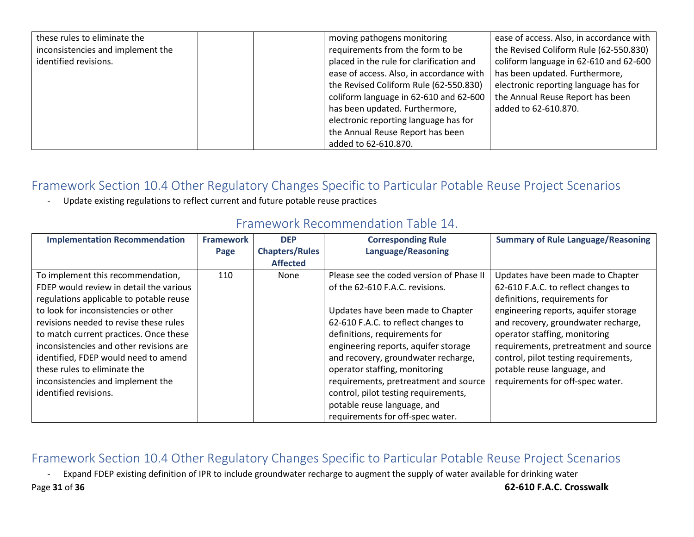| these rules to eliminate the      | ease of access. Also, in accordance with<br>moving pathogens monitoring            |
|-----------------------------------|------------------------------------------------------------------------------------|
| inconsistencies and implement the | requirements from the form to be<br>the Revised Coliform Rule (62-550.830)         |
| identified revisions.             | coliform language in 62-610 and 62-600<br>placed in the rule for clarification and |
|                                   | has been updated. Furthermore,<br>ease of access. Also, in accordance with         |
|                                   | the Revised Coliform Rule (62-550.830)<br>electronic reporting language has for    |
|                                   | the Annual Reuse Report has been<br>coliform language in 62-610 and 62-600         |
|                                   | has been updated. Furthermore,<br>added to 62-610.870.                             |
|                                   | electronic reporting language has for                                              |
|                                   | the Annual Reuse Report has been                                                   |
|                                   | added to 62-610.870.                                                               |

- Update existing regulations to reflect current and future potable reuse practices

| <b>Implementation Recommendation</b>    | <b>Framework</b> | <b>DEP</b>            | <b>Corresponding Rule</b>                | <b>Summary of Rule Language/Reasoning</b> |
|-----------------------------------------|------------------|-----------------------|------------------------------------------|-------------------------------------------|
|                                         | Page             | <b>Chapters/Rules</b> | Language/Reasoning                       |                                           |
|                                         |                  | <b>Affected</b>       |                                          |                                           |
| To implement this recommendation,       | 110              | None                  | Please see the coded version of Phase II | Updates have been made to Chapter         |
| FDEP would review in detail the various |                  |                       | of the 62-610 F.A.C. revisions.          | 62-610 F.A.C. to reflect changes to       |
| regulations applicable to potable reuse |                  |                       |                                          | definitions, requirements for             |
| to look for inconsistencies or other    |                  |                       | Updates have been made to Chapter        | engineering reports, aquifer storage      |
| revisions needed to revise these rules  |                  |                       | 62-610 F.A.C. to reflect changes to      | and recovery, groundwater recharge,       |
| to match current practices. Once these  |                  |                       | definitions, requirements for            | operator staffing, monitoring             |
| inconsistencies and other revisions are |                  |                       | engineering reports, aquifer storage     | requirements, pretreatment and source     |
| identified, FDEP would need to amend    |                  |                       | and recovery, groundwater recharge,      | control, pilot testing requirements,      |
| these rules to eliminate the            |                  |                       | operator staffing, monitoring            | potable reuse language, and               |
| inconsistencies and implement the       |                  |                       | requirements, pretreatment and source    | requirements for off-spec water.          |
| identified revisions.                   |                  |                       | control, pilot testing requirements,     |                                           |
|                                         |                  |                       | potable reuse language, and              |                                           |
|                                         |                  |                       | requirements for off-spec water.         |                                           |

## Framework Recommendation Table 14.

## Framework Section 10.4 Other Regulatory Changes Specific to Particular Potable Reuse Project Scenarios

- Expand FDEP existing definition of IPR to include groundwater recharge to augment the supply of water available for drinking water

Page **31** of **36 62-610 F.A.C. Crosswalk**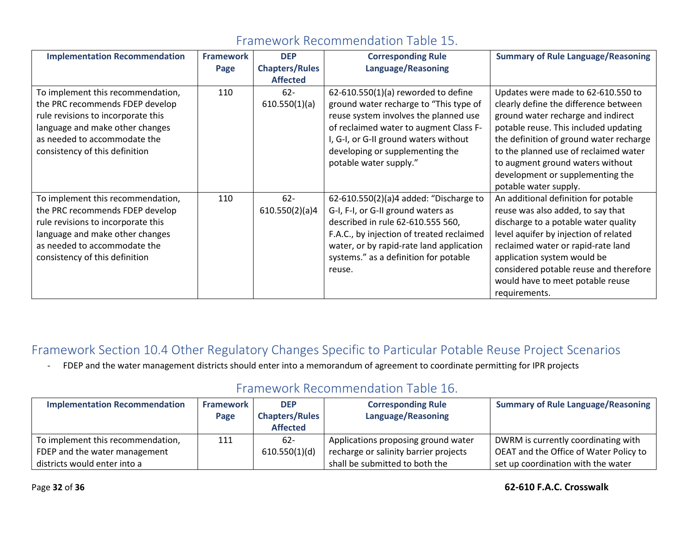| <b>Implementation Recommendation</b>                                                                                                                                                                            | <b>Framework</b> | <b>DEP</b>               | <b>Corresponding Rule</b>                                                                                                                                                                                                                                                | <b>Summary of Rule Language/Reasoning</b>                                                                                                                                                                                                                                                                                                       |
|-----------------------------------------------------------------------------------------------------------------------------------------------------------------------------------------------------------------|------------------|--------------------------|--------------------------------------------------------------------------------------------------------------------------------------------------------------------------------------------------------------------------------------------------------------------------|-------------------------------------------------------------------------------------------------------------------------------------------------------------------------------------------------------------------------------------------------------------------------------------------------------------------------------------------------|
|                                                                                                                                                                                                                 | Page             | <b>Chapters/Rules</b>    | <b>Language/Reasoning</b>                                                                                                                                                                                                                                                |                                                                                                                                                                                                                                                                                                                                                 |
|                                                                                                                                                                                                                 |                  | <b>Affected</b>          |                                                                                                                                                                                                                                                                          |                                                                                                                                                                                                                                                                                                                                                 |
| To implement this recommendation,<br>the PRC recommends FDEP develop<br>rule revisions to incorporate this<br>language and make other changes<br>as needed to accommodate the<br>consistency of this definition | 110              | $62 -$<br>610.550(1)(a)  | $62-610.550(1)(a)$ reworded to define<br>ground water recharge to "This type of<br>reuse system involves the planned use<br>of reclaimed water to augment Class F-<br>I, G-I, or G-II ground waters without<br>developing or supplementing the<br>potable water supply." | Updates were made to 62-610.550 to<br>clearly define the difference between<br>ground water recharge and indirect<br>potable reuse. This included updating<br>the definition of ground water recharge<br>to the planned use of reclaimed water<br>to augment ground waters without<br>development or supplementing the<br>potable water supply. |
| To implement this recommendation,<br>the PRC recommends FDEP develop<br>rule revisions to incorporate this<br>language and make other changes<br>as needed to accommodate the<br>consistency of this definition | 110              | $62 -$<br>610.550(2)(a)4 | 62-610.550(2)(a)4 added: "Discharge to<br>G-I, F-I, or G-II ground waters as<br>described in rule 62-610.555 560,<br>F.A.C., by injection of treated reclaimed<br>water, or by rapid-rate land application<br>systems." as a definition for potable<br>reuse.            | An additional definition for potable<br>reuse was also added, to say that<br>discharge to a potable water quality<br>level aquifer by injection of related<br>reclaimed water or rapid-rate land<br>application system would be<br>considered potable reuse and therefore<br>would have to meet potable reuse<br>requirements.                  |

## Framework Recommendation Table 15.

## Framework Section 10.4 Other Regulatory Changes Specific to Particular Potable Reuse Project Scenarios

- FDEP and the water management districts should enter into a memorandum of agreement to coordinate permitting for IPR projects

## Framework Recommendation Table 16.

| <b>Implementation Recommendation</b> | <b>Framework</b> | <b>DEP</b>            | <b>Corresponding Rule</b>             | <b>Summary of Rule Language/Reasoning</b> |
|--------------------------------------|------------------|-----------------------|---------------------------------------|-------------------------------------------|
|                                      | Page             | <b>Chapters/Rules</b> | Language/Reasoning                    |                                           |
|                                      |                  | <b>Affected</b>       |                                       |                                           |
| To implement this recommendation,    | 111              | $62 -$                | Applications proposing ground water   | DWRM is currently coordinating with       |
| FDEP and the water management        |                  | 610.550(1)(d)         | recharge or salinity barrier projects | OEAT and the Office of Water Policy to    |
| districts would enter into a         |                  |                       | shall be submitted to both the        | set up coordination with the water        |

#### Page **32** of **36 62-610 F.A.C. Crosswalk**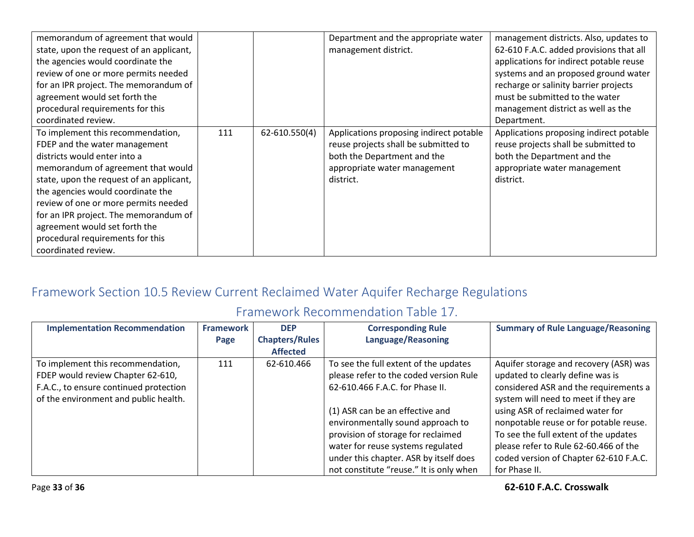| memorandum of agreement that would       |     |               | Department and the appropriate water    | management districts. Also, updates to  |
|------------------------------------------|-----|---------------|-----------------------------------------|-----------------------------------------|
| state, upon the request of an applicant, |     |               | management district.                    | 62-610 F.A.C. added provisions that all |
| the agencies would coordinate the        |     |               |                                         | applications for indirect potable reuse |
| review of one or more permits needed     |     |               |                                         | systems and an proposed ground water    |
| for an IPR project. The memorandum of    |     |               |                                         | recharge or salinity barrier projects   |
| agreement would set forth the            |     |               |                                         | must be submitted to the water          |
| procedural requirements for this         |     |               |                                         | management district as well as the      |
| coordinated review.                      |     |               |                                         | Department.                             |
| To implement this recommendation,        | 111 | 62-610.550(4) | Applications proposing indirect potable | Applications proposing indirect potable |
| FDEP and the water management            |     |               | reuse projects shall be submitted to    | reuse projects shall be submitted to    |
| districts would enter into a             |     |               | both the Department and the             | both the Department and the             |
| memorandum of agreement that would       |     |               | appropriate water management            | appropriate water management            |
| state, upon the request of an applicant, |     |               | district.                               | district.                               |
| the agencies would coordinate the        |     |               |                                         |                                         |
| review of one or more permits needed     |     |               |                                         |                                         |
| for an IPR project. The memorandum of    |     |               |                                         |                                         |
| agreement would set forth the            |     |               |                                         |                                         |
| procedural requirements for this         |     |               |                                         |                                         |
| coordinated review.                      |     |               |                                         |                                         |

## Framework Section 10.5 Review Current Reclaimed Water Aquifer Recharge Regulations

## Framework Recommendation Table 17.

| <b>Implementation Recommendation</b>   | <b>Framework</b> | <b>DEP</b>            | <b>Corresponding Rule</b>               | <b>Summary of Rule Language/Reasoning</b> |
|----------------------------------------|------------------|-----------------------|-----------------------------------------|-------------------------------------------|
|                                        | Page             | <b>Chapters/Rules</b> | Language/Reasoning                      |                                           |
|                                        |                  | <b>Affected</b>       |                                         |                                           |
| To implement this recommendation,      | 111              | 62-610.466            | To see the full extent of the updates   | Aquifer storage and recovery (ASR) was    |
| FDEP would review Chapter 62-610,      |                  |                       | please refer to the coded version Rule  | updated to clearly define was is          |
| F.A.C., to ensure continued protection |                  |                       | 62-610.466 F.A.C. for Phase II.         | considered ASR and the requirements a     |
| of the environment and public health.  |                  |                       |                                         | system will need to meet if they are      |
|                                        |                  |                       | (1) ASR can be an effective and         | using ASR of reclaimed water for          |
|                                        |                  |                       | environmentally sound approach to       | nonpotable reuse or for potable reuse.    |
|                                        |                  |                       | provision of storage for reclaimed      | To see the full extent of the updates     |
|                                        |                  |                       | water for reuse systems regulated       | please refer to Rule 62-60.466 of the     |
|                                        |                  |                       | under this chapter. ASR by itself does  | coded version of Chapter 62-610 F.A.C.    |
|                                        |                  |                       | not constitute "reuse." It is only when | for Phase II.                             |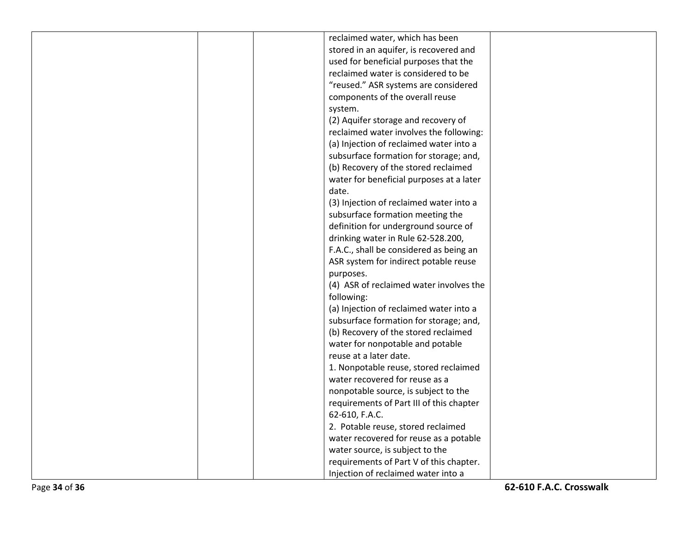| reclaimed water, which has been          |  |
|------------------------------------------|--|
| stored in an aquifer, is recovered and   |  |
| used for beneficial purposes that the    |  |
| reclaimed water is considered to be      |  |
| "reused." ASR systems are considered     |  |
| components of the overall reuse          |  |
| system.                                  |  |
| (2) Aquifer storage and recovery of      |  |
| reclaimed water involves the following:  |  |
| (a) Injection of reclaimed water into a  |  |
| subsurface formation for storage; and,   |  |
| (b) Recovery of the stored reclaimed     |  |
| water for beneficial purposes at a later |  |
| date.                                    |  |
| (3) Injection of reclaimed water into a  |  |
| subsurface formation meeting the         |  |
| definition for underground source of     |  |
| drinking water in Rule 62-528.200,       |  |
| F.A.C., shall be considered as being an  |  |
| ASR system for indirect potable reuse    |  |
| purposes.                                |  |
| (4) ASR of reclaimed water involves the  |  |
| following:                               |  |
| (a) Injection of reclaimed water into a  |  |
| subsurface formation for storage; and,   |  |
| (b) Recovery of the stored reclaimed     |  |
| water for nonpotable and potable         |  |
| reuse at a later date.                   |  |
| 1. Nonpotable reuse, stored reclaimed    |  |
| water recovered for reuse as a           |  |
| nonpotable source, is subject to the     |  |
| requirements of Part III of this chapter |  |
| 62-610, F.A.C.                           |  |
| 2. Potable reuse, stored reclaimed       |  |
| water recovered for reuse as a potable   |  |
| water source, is subject to the          |  |
| requirements of Part V of this chapter.  |  |
| Injection of reclaimed water into a      |  |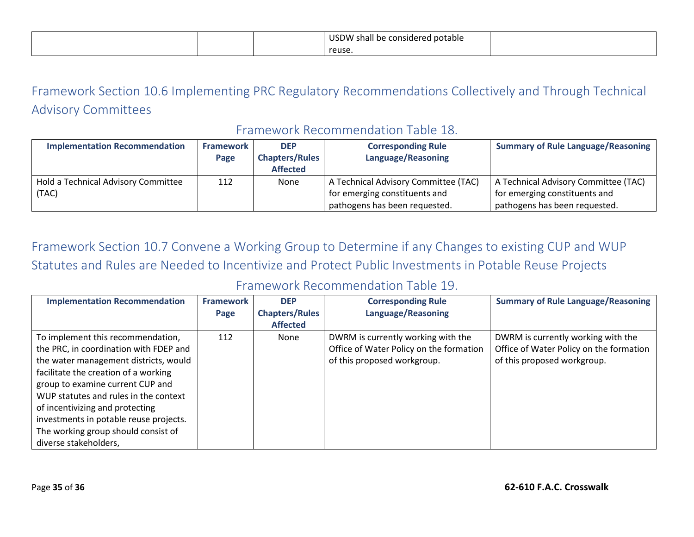|  | <b>USDW</b><br>V shall be considered potable \<br>- - - - - |  |
|--|-------------------------------------------------------------|--|
|  | reuse                                                       |  |

## Framework Section 10.6 Implementing PRC Regulatory Recommendations Collectively and Through Technical Advisory Committees

#### Framework Recommendation Table 18.

| <b>Implementation Recommendation</b> | <b>Framework</b> | <b>DEP</b>            | <b>Corresponding Rule</b>            | <b>Summary of Rule Language/Reasoning</b> |
|--------------------------------------|------------------|-----------------------|--------------------------------------|-------------------------------------------|
|                                      | Page             | <b>Chapters/Rules</b> | Language/Reasoning                   |                                           |
|                                      |                  | <b>Affected</b>       |                                      |                                           |
| Hold a Technical Advisory Committee  | 112              | None                  | A Technical Advisory Committee (TAC) | A Technical Advisory Committee (TAC)      |
| (TAC)                                |                  |                       | for emerging constituents and        | for emerging constituents and             |
|                                      |                  |                       | pathogens has been requested.        | pathogens has been requested.             |

Framework Section 10.7 Convene a Working Group to Determine if any Changes to existing CUP and WUP Statutes and Rules are Needed to Incentivize and Protect Public Investments in Potable Reuse Projects

#### Framework Recommendation Table 19.

| <b>Implementation Recommendation</b>   | <b>Framework</b> | <b>DEP</b>            | <b>Corresponding Rule</b>               | <b>Summary of Rule Language/Reasoning</b> |
|----------------------------------------|------------------|-----------------------|-----------------------------------------|-------------------------------------------|
|                                        | Page             | <b>Chapters/Rules</b> | Language/Reasoning                      |                                           |
|                                        |                  | <b>Affected</b>       |                                         |                                           |
| To implement this recommendation,      | 112              | None                  | DWRM is currently working with the      | DWRM is currently working with the        |
| the PRC, in coordination with FDEP and |                  |                       | Office of Water Policy on the formation | Office of Water Policy on the formation   |
| the water management districts, would  |                  |                       | of this proposed workgroup.             | of this proposed workgroup.               |
| facilitate the creation of a working   |                  |                       |                                         |                                           |
| group to examine current CUP and       |                  |                       |                                         |                                           |
| WUP statutes and rules in the context  |                  |                       |                                         |                                           |
| of incentivizing and protecting        |                  |                       |                                         |                                           |
| investments in potable reuse projects. |                  |                       |                                         |                                           |
| The working group should consist of    |                  |                       |                                         |                                           |
| diverse stakeholders,                  |                  |                       |                                         |                                           |